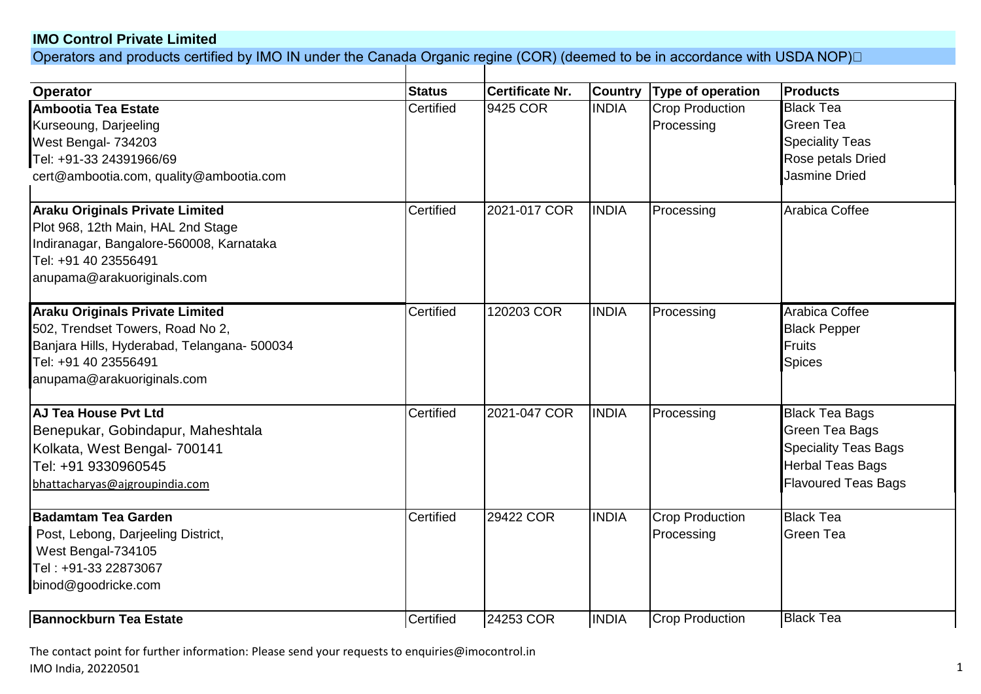## **IMO Control Private Limited**

Operators and products certified by IMO IN under the Canada Organic regine (COR) (deemed to be in accordance with USDA NOP)⊡

| <b>Operator</b>                             | <b>Status</b> | <b>Certificate Nr.</b> | <b>Country</b> | <b>Type of operation</b> | <b>Products</b>             |  |  |  |
|---------------------------------------------|---------------|------------------------|----------------|--------------------------|-----------------------------|--|--|--|
| Ambootia Tea Estate                         | Certified     | 9425 COR               | <b>INDIA</b>   | <b>Crop Production</b>   | <b>Black Tea</b>            |  |  |  |
| Kurseoung, Darjeeling                       |               |                        |                | Processing               | <b>Green Tea</b>            |  |  |  |
| West Bengal- 734203                         |               |                        |                |                          | <b>Speciality Teas</b>      |  |  |  |
| Tel: +91-33 24391966/69                     |               |                        |                |                          | Rose petals Dried           |  |  |  |
| cert@ambootia.com, quality@ambootia.com     |               |                        |                |                          | <b>Jasmine Dried</b>        |  |  |  |
| <b>Araku Originals Private Limited</b>      | Certified     | 2021-017 COR           | <b>INDIA</b>   | Processing               | Arabica Coffee              |  |  |  |
| Plot 968, 12th Main, HAL 2nd Stage          |               |                        |                |                          |                             |  |  |  |
| Indiranagar, Bangalore-560008, Karnataka    |               |                        |                |                          |                             |  |  |  |
| Tel: +91 40 23556491                        |               |                        |                |                          |                             |  |  |  |
| anupama@arakuoriginals.com                  |               |                        |                |                          |                             |  |  |  |
| <b>Araku Originals Private Limited</b>      | Certified     | 120203 COR             | <b>INDIA</b>   | Processing               | Arabica Coffee              |  |  |  |
| 502, Trendset Towers, Road No 2,            |               |                        |                |                          | <b>Black Pepper</b>         |  |  |  |
| Banjara Hills, Hyderabad, Telangana- 500034 |               |                        |                |                          | Fruits                      |  |  |  |
| Tel: +91 40 23556491                        |               |                        |                |                          | <b>Spices</b>               |  |  |  |
| anupama@arakuoriginals.com                  |               |                        |                |                          |                             |  |  |  |
| <b>AJ Tea House Pyt Ltd</b>                 | Certified     | 2021-047 COR           | <b>INDIA</b>   | Processing               | <b>Black Tea Bags</b>       |  |  |  |
| Benepukar, Gobindapur, Maheshtala           |               |                        |                |                          | Green Tea Bags              |  |  |  |
| Kolkata, West Bengal- 700141                |               |                        |                |                          | <b>Speciality Teas Bags</b> |  |  |  |
| Tel: +91 9330960545                         |               |                        |                |                          | <b>Herbal Teas Bags</b>     |  |  |  |
| bhattacharyas@ajgroupindia.com              |               |                        |                |                          | <b>Flavoured Teas Bags</b>  |  |  |  |
| <b>Badamtam Tea Garden</b>                  | Certified     | 29422 COR              | <b>INDIA</b>   | <b>Crop Production</b>   | <b>Black Tea</b>            |  |  |  |
| Post, Lebong, Darjeeling District,          |               |                        |                | Processing               | Green Tea                   |  |  |  |
| West Bengal-734105                          |               |                        |                |                          |                             |  |  |  |
| Tel: +91-33 22873067                        |               |                        |                |                          |                             |  |  |  |
| binod@goodricke.com                         |               |                        |                |                          |                             |  |  |  |
| <b>Bannockburn Tea Estate</b>               | Certified     | 24253 COR              | <b>INDIA</b>   | <b>Crop Production</b>   | <b>Black Tea</b>            |  |  |  |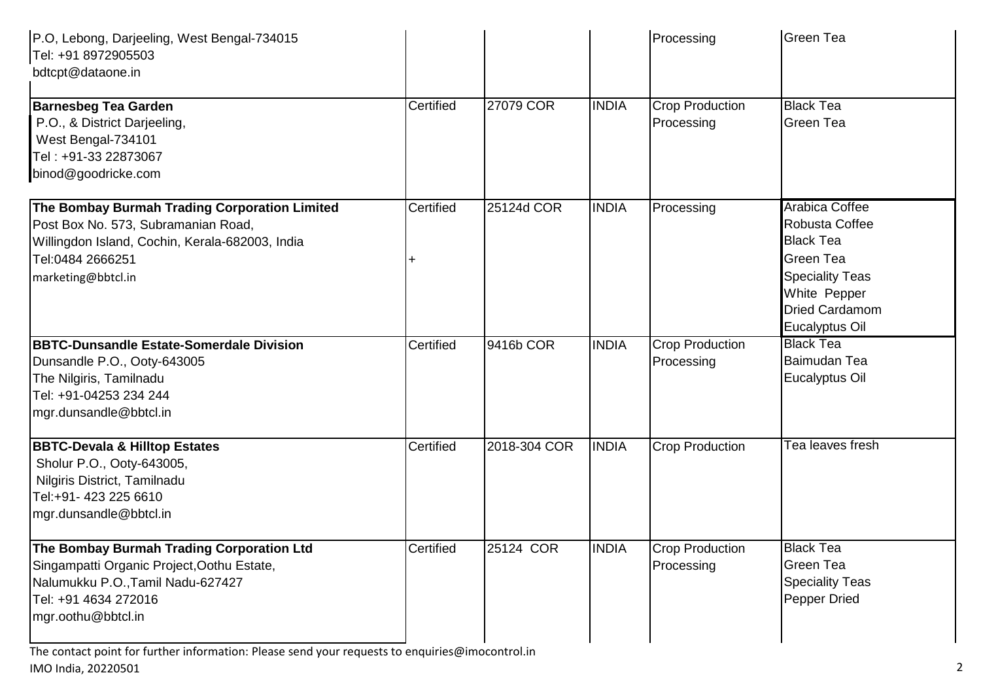| P.O, Lebong, Darjeeling, West Bengal-734015<br>Tel: +91 8972905503<br>bdtcpt@dataone.in                                                                                           |           |              |              | Processing                           | <b>Green Tea</b>                                                                                                                                              |
|-----------------------------------------------------------------------------------------------------------------------------------------------------------------------------------|-----------|--------------|--------------|--------------------------------------|---------------------------------------------------------------------------------------------------------------------------------------------------------------|
| <b>Barnesbeg Tea Garden</b><br>P.O., & District Darjeeling,<br>West Bengal-734101<br>Tel: +91-33 22873067<br>binod@goodricke.com                                                  | Certified | 27079 COR    | <b>INDIA</b> | <b>Crop Production</b><br>Processing | <b>Black Tea</b><br><b>Green Tea</b>                                                                                                                          |
| The Bombay Burmah Trading Corporation Limited<br>Post Box No. 573, Subramanian Road,<br>Willingdon Island, Cochin, Kerala-682003, India<br>Tel:0484 2666251<br>marketing@bbtcl.in | Certified | 25124d COR   | <b>INDIA</b> | Processing                           | <b>Arabica Coffee</b><br>Robusta Coffee<br><b>Black Tea</b><br><b>Green Tea</b><br><b>Speciality Teas</b><br>White Pepper<br>Dried Cardamom<br>Eucalyptus Oil |
| <b>BBTC-Dunsandle Estate-Somerdale Division</b><br>Dunsandle P.O., Ooty-643005<br>The Nilgiris, Tamilnadu<br>Tel: +91-04253 234 244<br>mgr.dunsandle@bbtcl.in                     | Certified | 9416b COR    | <b>INDIA</b> | <b>Crop Production</b><br>Processing | <b>Black Tea</b><br>Baimudan Tea<br>Eucalyptus Oil                                                                                                            |
| <b>BBTC-Devala &amp; Hilltop Estates</b><br>Sholur P.O., Ooty-643005,<br>Nilgiris District, Tamilnadu<br>Tel:+91- 423 225 6610<br>mgr.dunsandle@bbtcl.in                          | Certified | 2018-304 COR | <b>INDIA</b> | <b>Crop Production</b>               | Tea leaves fresh                                                                                                                                              |
| The Bombay Burmah Trading Corporation Ltd<br>Singampatti Organic Project, Oothu Estate,<br>Nalumukku P.O., Tamil Nadu-627427<br>Tel: +91 4634 272016<br>mgr.oothu@bbtcl.in        | Certified | 25124 COR    | <b>INDIA</b> | <b>Crop Production</b><br>Processing | <b>Black Tea</b><br><b>Green Tea</b><br><b>Speciality Teas</b><br><b>Pepper Dried</b>                                                                         |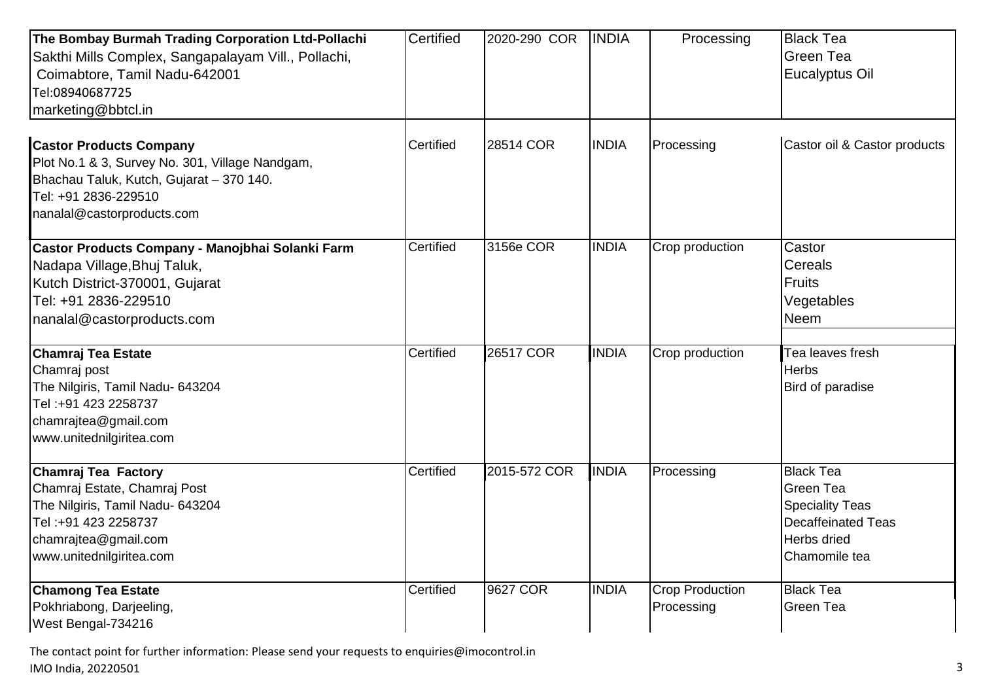| The Bombay Burmah Trading Corporation Ltd-Pollachi<br>Sakthi Mills Complex, Sangapalayam Vill., Pollachi,<br>Coimabtore, Tamil Nadu-642001<br>Tel:08940687725<br>marketing@bbtcl.in | Certified | 2020-290 COR | <b>INDIA</b> | Processing                           | <b>Black Tea</b><br>Green Tea<br>Eucalyptus Oil                                                                      |
|-------------------------------------------------------------------------------------------------------------------------------------------------------------------------------------|-----------|--------------|--------------|--------------------------------------|----------------------------------------------------------------------------------------------------------------------|
| <b>Castor Products Company</b><br>Plot No.1 & 3, Survey No. 301, Village Nandgam,<br>Bhachau Taluk, Kutch, Gujarat - 370 140.<br>Tel: +91 2836-229510<br>nanalal@castorproducts.com | Certified | 28514 COR    | <b>INDIA</b> | Processing                           | Castor oil & Castor products                                                                                         |
| Castor Products Company - Manojbhai Solanki Farm<br>Nadapa Village, Bhuj Taluk,<br>Kutch District-370001, Gujarat<br>Tel: +91 2836-229510<br>nanalal@castorproducts.com             | Certified | 3156e COR    | <b>INDIA</b> | Crop production                      | Castor<br>Cereals<br><b>Fruits</b><br>Vegetables<br><b>Neem</b>                                                      |
| <b>Chamraj Tea Estate</b><br>Chamraj post<br>The Nilgiris, Tamil Nadu- 643204<br>Tel:+91 423 2258737<br>chamrajtea@gmail.com<br>www.unitednilgiritea.com                            | Certified | 26517 COR    | <b>INDIA</b> | Crop production                      | Tea leaves fresh<br><b>Herbs</b><br>Bird of paradise                                                                 |
| Chamraj Tea Factory<br>Chamraj Estate, Chamraj Post<br>The Nilgiris, Tamil Nadu- 643204<br>Tel: +91 423 2258737<br>chamrajtea@gmail.com<br>www.unitednilgiritea.com                 | Certified | 2015-572 COR | <b>INDIA</b> | Processing                           | <b>Black Tea</b><br>Green Tea<br><b>Speciality Teas</b><br><b>Decaffeinated Teas</b><br>Herbs dried<br>Chamomile tea |
| <b>Chamong Tea Estate</b><br>Pokhriabong, Darjeeling,<br>West Bengal-734216                                                                                                         | Certified | 9627 COR     | <b>INDIA</b> | <b>Crop Production</b><br>Processing | <b>Black Tea</b><br><b>Green Tea</b>                                                                                 |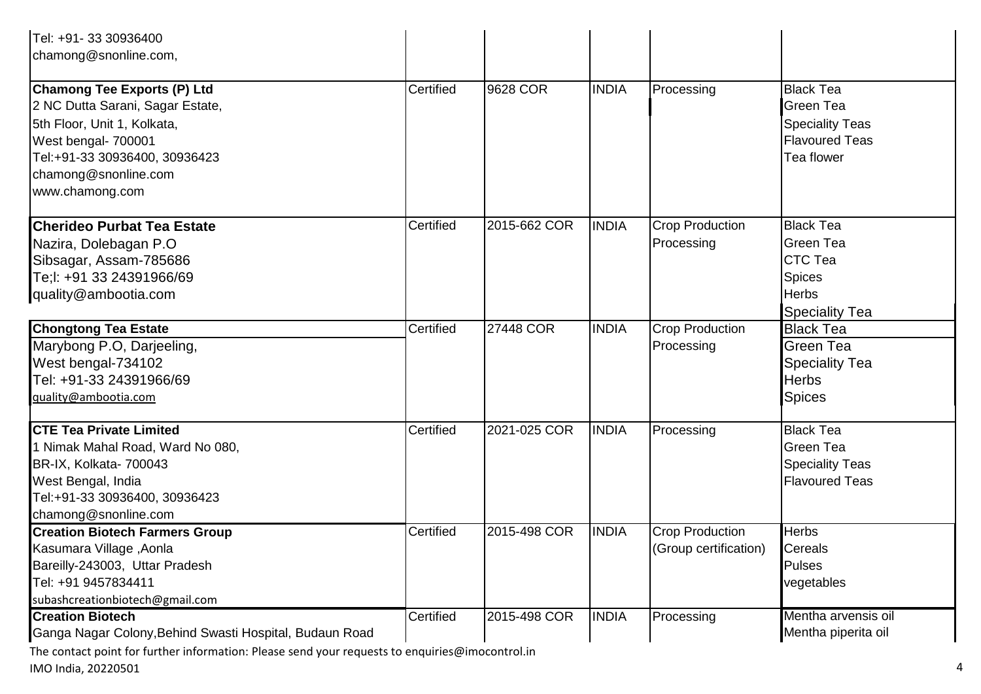| Tel: +91- 33 30936400                                                                                                                                                                                    |           |              |              |                                                 |                                                                                                       |
|----------------------------------------------------------------------------------------------------------------------------------------------------------------------------------------------------------|-----------|--------------|--------------|-------------------------------------------------|-------------------------------------------------------------------------------------------------------|
| chamong@snonline.com,                                                                                                                                                                                    |           |              |              |                                                 |                                                                                                       |
| <b>Chamong Tee Exports (P) Ltd</b><br>2 NC Dutta Sarani, Sagar Estate,<br>5th Floor, Unit 1, Kolkata,<br>West bengal- 700001<br>Tel:+91-33 30936400, 30936423<br>chamong@snonline.com<br>www.chamong.com | Certified | 9628 COR     | <b>INDIA</b> | Processing                                      | <b>Black Tea</b><br><b>Green Tea</b><br><b>Speciality Teas</b><br><b>Flavoured Teas</b><br>Tea flower |
| <b>Cherideo Purbat Tea Estate</b><br>Nazira, Dolebagan P.O<br>Sibsagar, Assam-785686<br>Te:l: +91 33 24391966/69<br>quality@ambootia.com                                                                 | Certified | 2015-662 COR | <b>INDIA</b> | <b>Crop Production</b><br>Processing            | <b>Black Tea</b><br>Green Tea<br>CTC Tea<br>Spices<br><b>Herbs</b><br><b>Speciality Tea</b>           |
| <b>Chongtong Tea Estate</b><br>Marybong P.O, Darjeeling,<br>West bengal-734102<br>Tel: +91-33 24391966/69<br>quality@ambootia.com                                                                        | Certified | 27448 COR    | <b>INDIA</b> | <b>Crop Production</b><br>Processing            | <b>Black Tea</b><br><b>Green Tea</b><br><b>Speciality Tea</b><br><b>Herbs</b><br><b>Spices</b>        |
| <b>CTE Tea Private Limited</b><br>1 Nimak Mahal Road, Ward No 080,<br>BR-IX, Kolkata- 700043<br>West Bengal, India<br>Tel:+91-33 30936400, 30936423<br>chamong@snonline.com                              | Certified | 2021-025 COR | <b>INDIA</b> | Processing                                      | <b>Black Tea</b><br>Green Tea<br><b>Speciality Teas</b><br><b>Flavoured Teas</b>                      |
| <b>Creation Biotech Farmers Group</b><br>Kasumara Village, Aonla<br>Bareilly-243003, Uttar Pradesh<br>Tel: +91 9457834411<br>subashcreationbiotech@gmail.com                                             | Certified | 2015-498 COR | <b>INDIA</b> | <b>Crop Production</b><br>(Group certification) | <b>Herbs</b><br>Cereals<br><b>Pulses</b><br>vegetables                                                |
| <b>Creation Biotech</b><br>Ganga Nagar Colony, Behind Swasti Hospital, Budaun Road                                                                                                                       | Certified | 2015-498 COR | <b>INDIA</b> | Processing                                      | Mentha arvensis oil<br>Mentha piperita oil                                                            |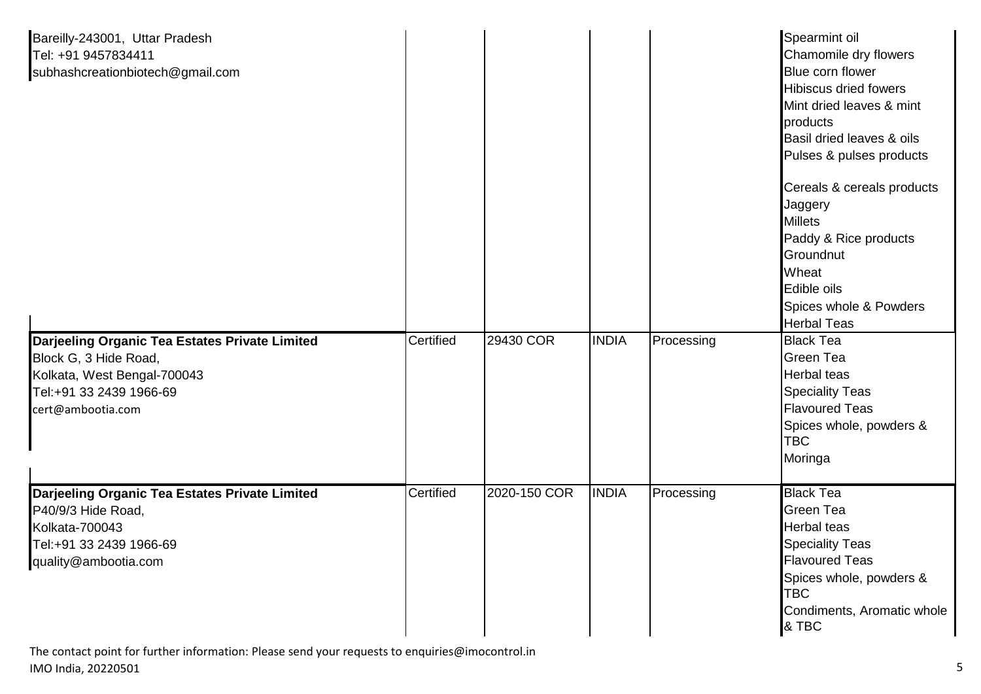| Bareilly-243001, Uttar Pradesh<br>Tel: +91 9457834411<br>subhashcreationbiotech@gmail.com                                                              |           |              |              |            | Spearmint oil<br>Chamomile dry flowers<br>Blue corn flower<br><b>Hibiscus dried fowers</b><br>Mint dried leaves & mint<br>products<br>Basil dried leaves & oils<br>Pulses & pulses products<br>Cereals & cereals products<br>Jaggery<br><b>Millets</b><br>Paddy & Rice products<br>Groundnut<br>Wheat<br>Edible oils<br>Spices whole & Powders |
|--------------------------------------------------------------------------------------------------------------------------------------------------------|-----------|--------------|--------------|------------|------------------------------------------------------------------------------------------------------------------------------------------------------------------------------------------------------------------------------------------------------------------------------------------------------------------------------------------------|
| Darjeeling Organic Tea Estates Private Limited<br>Block G, 3 Hide Road,<br>Kolkata, West Bengal-700043<br>Tel:+91 33 2439 1966-69<br>cert@ambootia.com | Certified | 29430 COR    | <b>INDIA</b> | Processing | <b>Herbal Teas</b><br><b>Black Tea</b><br><b>Green Tea</b><br><b>Herbal teas</b><br><b>Speciality Teas</b><br><b>Flavoured Teas</b><br>Spices whole, powders &<br><b>TBC</b><br>Moringa                                                                                                                                                        |
| Darjeeling Organic Tea Estates Private Limited<br>P40/9/3 Hide Road,<br>Kolkata-700043<br>Tel:+91 33 2439 1966-69<br>quality@ambootia.com              | Certified | 2020-150 COR | <b>INDIA</b> | Processing | <b>Black Tea</b><br><b>Green Tea</b><br><b>Herbal teas</b><br><b>Speciality Teas</b><br><b>Flavoured Teas</b><br>Spices whole, powders &<br><b>TBC</b><br>Condiments, Aromatic whole<br>& TBC                                                                                                                                                  |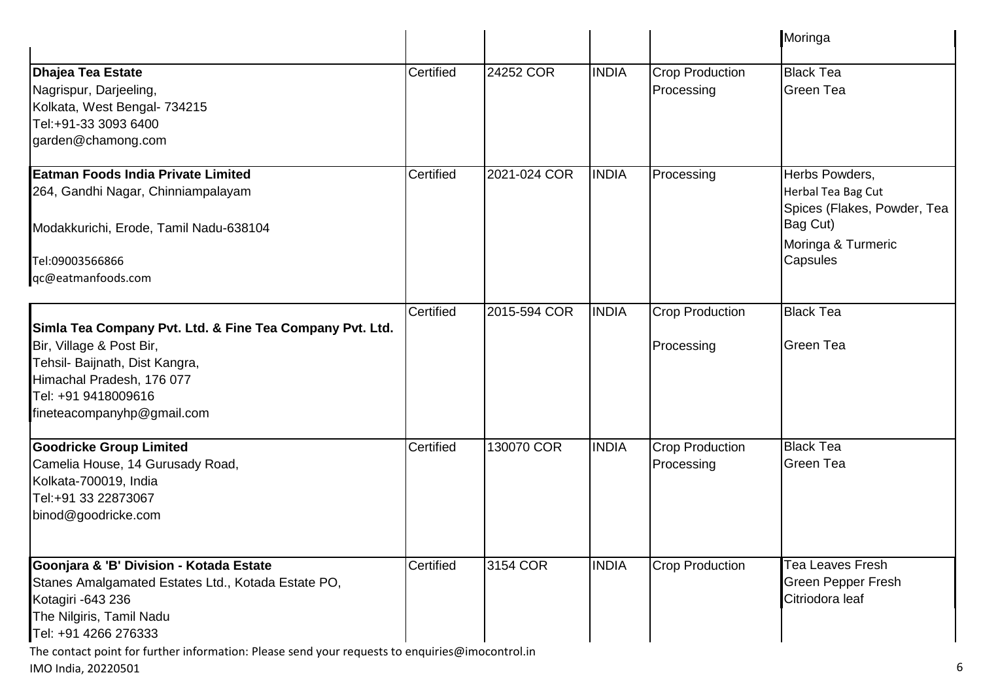|                                                                                                                                                                                                          |           |              |              |                                      | Moringa                                                                                                           |
|----------------------------------------------------------------------------------------------------------------------------------------------------------------------------------------------------------|-----------|--------------|--------------|--------------------------------------|-------------------------------------------------------------------------------------------------------------------|
| Dhajea Tea Estate<br>Nagrispur, Darjeeling,<br>Kolkata, West Bengal- 734215<br>Tel:+91-33 3093 6400<br>garden@chamong.com                                                                                | Certified | 24252 COR    | <b>INDIA</b> | <b>Crop Production</b><br>Processing | <b>Black Tea</b><br><b>Green Tea</b>                                                                              |
| Eatman Foods India Private Limited<br>264, Gandhi Nagar, Chinniampalayam<br>Modakkurichi, Erode, Tamil Nadu-638104<br>Tel:09003566866<br>qc@eatmanfoods.com                                              | Certified | 2021-024 COR | <b>INDIA</b> | Processing                           | Herbs Powders,<br>Herbal Tea Bag Cut<br>Spices (Flakes, Powder, Tea<br>Bag Cut)<br>Moringa & Turmeric<br>Capsules |
| Simla Tea Company Pvt. Ltd. & Fine Tea Company Pvt. Ltd.<br>Bir, Village & Post Bir,<br>Tehsil- Baijnath, Dist Kangra,<br>Himachal Pradesh, 176 077<br>Tel: +91 9418009616<br>fineteacompanyhp@gmail.com | Certified | 2015-594 COR | <b>INDIA</b> | <b>Crop Production</b><br>Processing | <b>Black Tea</b><br><b>Green Tea</b>                                                                              |
| <b>Goodricke Group Limited</b><br>Camelia House, 14 Gurusady Road,<br>Kolkata-700019, India<br>Tel:+91 33 22873067<br>binod@goodricke.com                                                                | Certified | 130070 COR   | <b>INDIA</b> | <b>Crop Production</b><br>Processing | <b>Black Tea</b><br><b>Green Tea</b>                                                                              |
| Goonjara & 'B' Division - Kotada Estate<br>Stanes Amalgamated Estates Ltd., Kotada Estate PO,<br>Kotagiri - 643 236<br>The Nilgiris, Tamil Nadu<br>Tel: +91 4266 276333                                  | Certified | 3154 COR     | <b>INDIA</b> | <b>Crop Production</b>               | Tea Leaves Fresh<br><b>Green Pepper Fresh</b><br>Citriodora leaf                                                  |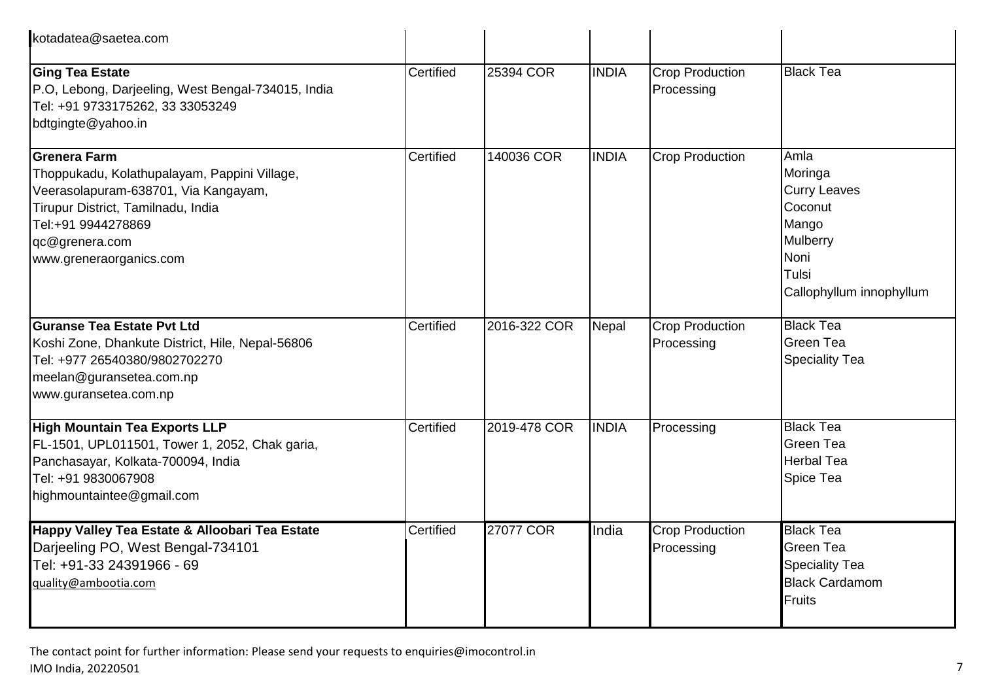| kotadatea@saetea.com                                                                                                                                                                                          |           |              |              |                                      |                                                                                                                     |
|---------------------------------------------------------------------------------------------------------------------------------------------------------------------------------------------------------------|-----------|--------------|--------------|--------------------------------------|---------------------------------------------------------------------------------------------------------------------|
| <b>Ging Tea Estate</b><br>P.O, Lebong, Darjeeling, West Bengal-734015, India<br>Tel: +91 9733175262, 33 33053249<br>bdtgingte@yahoo.in                                                                        | Certified | 25394 COR    | <b>INDIA</b> | <b>Crop Production</b><br>Processing | <b>Black Tea</b>                                                                                                    |
| Grenera Farm<br>Thoppukadu, Kolathupalayam, Pappini Village,<br>Veerasolapuram-638701, Via Kangayam,<br>Tirupur District, Tamilnadu, India<br>Tel:+91 9944278869<br>qc@grenera.com<br>www.greneraorganics.com | Certified | 140036 COR   | <b>INDIA</b> | <b>Crop Production</b>               | Amla<br>Moringa<br><b>Curry Leaves</b><br>Coconut<br>Mango<br>Mulberry<br>Noni<br>Tulsi<br>Callophyllum innophyllum |
| <b>Guranse Tea Estate Pvt Ltd</b><br>Koshi Zone, Dhankute District, Hile, Nepal-56806<br>Tel: +977 26540380/9802702270<br>meelan@guransetea.com.np<br>www.guransetea.com.np                                   | Certified | 2016-322 COR | Nepal        | <b>Crop Production</b><br>Processing | <b>Black Tea</b><br><b>Green Tea</b><br><b>Speciality Tea</b>                                                       |
| <b>High Mountain Tea Exports LLP</b><br>FL-1501, UPL011501, Tower 1, 2052, Chak garia,<br>Panchasayar, Kolkata-700094, India<br>Tel: +91 9830067908<br>highmountaintee@gmail.com                              | Certified | 2019-478 COR | <b>INDIA</b> | Processing                           | <b>Black Tea</b><br><b>Green Tea</b><br><b>Herbal Tea</b><br>Spice Tea                                              |
| Happy Valley Tea Estate & Alloobari Tea Estate<br>Darjeeling PO, West Bengal-734101<br>Tel: +91-33 24391966 - 69<br>guality@ambootia.com                                                                      | Certified | 27077 COR    | India        | <b>Crop Production</b><br>Processing | <b>Black Tea</b><br><b>Green Tea</b><br><b>Speciality Tea</b><br><b>Black Cardamom</b><br>Fruits                    |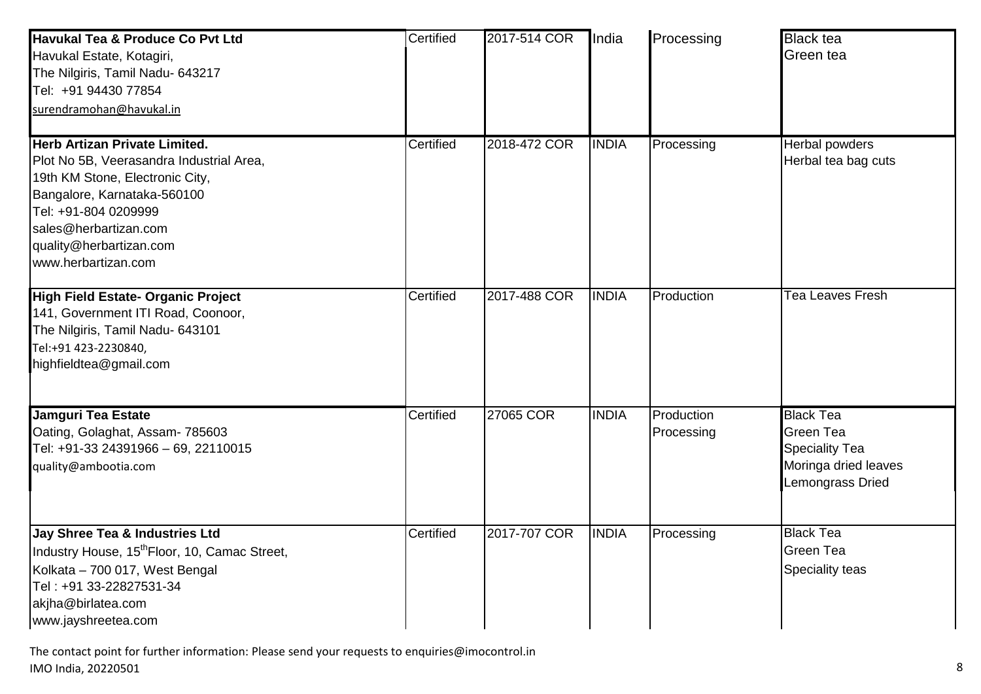| Havukal Tea & Produce Co Pvt Ltd<br>Havukal Estate, Kotagiri,<br>The Nilgiris, Tamil Nadu- 643217<br>Tel: +91 94430 77854<br>surendramohan@havukal.in                                                                                                 | Certified | 2017-514 COR | <b>India</b> | Processing               | <b>Black tea</b><br>Green tea                                                                      |
|-------------------------------------------------------------------------------------------------------------------------------------------------------------------------------------------------------------------------------------------------------|-----------|--------------|--------------|--------------------------|----------------------------------------------------------------------------------------------------|
| <b>Herb Artizan Private Limited.</b><br>Plot No 5B, Veerasandra Industrial Area,<br>19th KM Stone, Electronic City,<br>Bangalore, Karnataka-560100<br>Tel: +91-804 0209999<br>sales@herbartizan.com<br>quality@herbartizan.com<br>www.herbartizan.com | Certified | 2018-472 COR | <b>INDIA</b> | Processing               | Herbal powders<br>Herbal tea bag cuts                                                              |
| High Field Estate- Organic Project<br>141, Government ITI Road, Coonoor,<br>The Nilgiris, Tamil Nadu- 643101<br>Tel:+91 423-2230840,<br>highfieldtea@gmail.com                                                                                        | Certified | 2017-488 COR | <b>INDIA</b> | Production               | <b>Tea Leaves Fresh</b>                                                                            |
| Jamguri Tea Estate<br>Oating, Golaghat, Assam- 785603<br>Tel: +91-33 24391966 - 69, 22110015<br>quality@ambootia.com                                                                                                                                  | Certified | 27065 COR    | <b>INDIA</b> | Production<br>Processing | <b>Black Tea</b><br>Green Tea<br><b>Speciality Tea</b><br>Moringa dried leaves<br>Lemongrass Dried |
| Jay Shree Tea & Industries Ltd<br>Industry House, 15 <sup>th</sup> Floor, 10, Camac Street,<br>Kolkata - 700 017, West Bengal<br>Tel: +91 33-22827531-34<br>akjha@birlatea.com<br>www.jayshreetea.com                                                 | Certified | 2017-707 COR | <b>INDIA</b> | Processing               | <b>Black Tea</b><br>Green Tea<br>Speciality teas                                                   |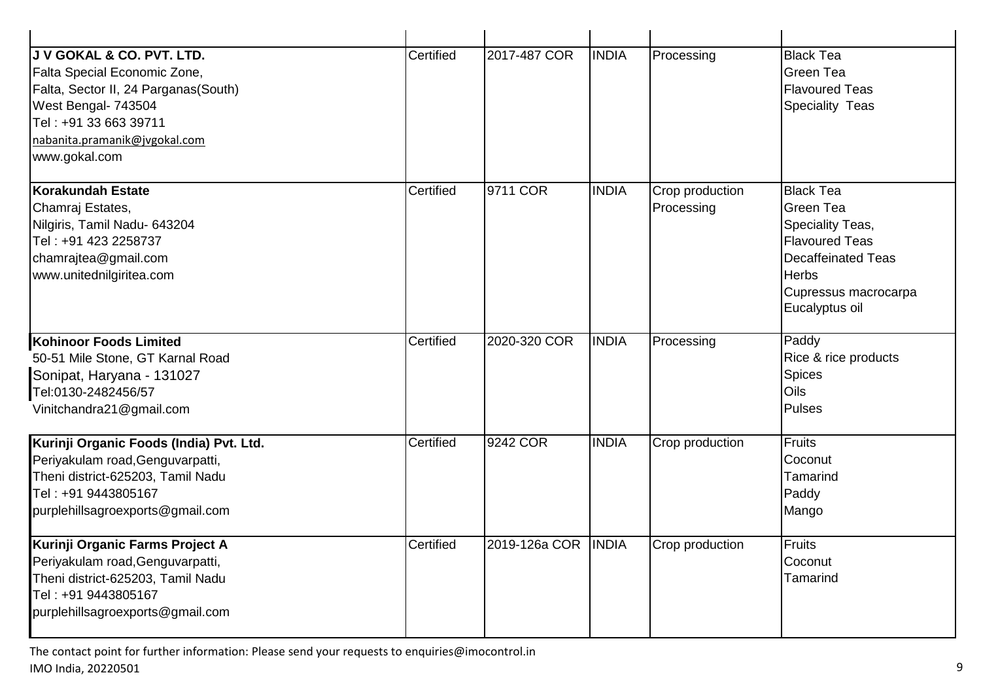| <b>U V GOKAL &amp; CO. PVT. LTD.</b><br>Falta Special Economic Zone,<br>Falta, Sector II, 24 Parganas(South)<br>West Bengal- 743504<br>Tel: +91 33 663 39711<br>nabanita.pramanik@jvgokal.com<br>www.gokal.com | Certified | 2017-487 COR  | <b>INDIA</b>  | Processing                    | <b>Black Tea</b><br>Green Tea<br><b>Flavoured Teas</b><br><b>Speciality Teas</b>                                                                                         |
|----------------------------------------------------------------------------------------------------------------------------------------------------------------------------------------------------------------|-----------|---------------|---------------|-------------------------------|--------------------------------------------------------------------------------------------------------------------------------------------------------------------------|
| Korakundah Estate<br>Chamraj Estates,<br>Nilgiris, Tamil Nadu- 643204<br>Tel: +91 423 2258737<br>chamrajtea@gmail.com<br>www.unitednilgiritea.com                                                              | Certified | 9711 COR      | <b>INDIA</b>  | Crop production<br>Processing | <b>Black Tea</b><br><b>Green Tea</b><br>Speciality Teas,<br><b>Flavoured Teas</b><br><b>Decaffeinated Teas</b><br><b>Herbs</b><br>Cupressus macrocarpa<br>Eucalyptus oil |
| <b>Kohinoor Foods Limited</b><br>50-51 Mile Stone, GT Karnal Road<br>Sonipat, Haryana - 131027<br>Tel:0130-2482456/57<br>Vinitchandra21@gmail.com                                                              | Certified | 2020-320 COR  | <b>INDIA</b>  | Processing                    | Paddy<br>Rice & rice products<br><b>Spices</b><br>Oils<br><b>Pulses</b>                                                                                                  |
| Kurinji Organic Foods (India) Pvt. Ltd.<br>Periyakulam road, Genguvarpatti,<br>Theni district-625203, Tamil Nadu<br>Tel: +91 9443805167<br>purplehillsagroexports@gmail.com                                    | Certified | 9242 COR      | <b>INDIA</b>  | Crop production               | Fruits<br>Coconut<br>Tamarind<br>Paddy<br>Mango                                                                                                                          |
| Kurinji Organic Farms Project A<br>Periyakulam road, Genguvarpatti,<br>Theni district-625203, Tamil Nadu<br>Tel: +91 9443805167<br>purplehillsagroexports@gmail.com                                            | Certified | 2019-126a COR | <b>TINDIA</b> | Crop production               | <b>Fruits</b><br>Coconut<br>Tamarind                                                                                                                                     |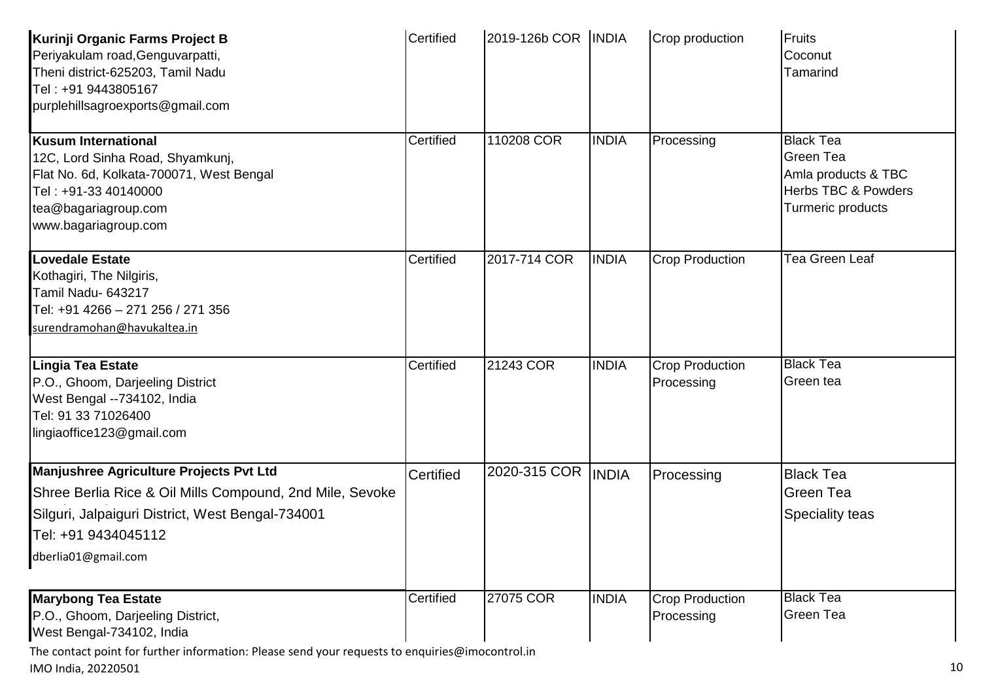| Kurinji Organic Farms Project B<br>Periyakulam road, Genguvarpatti,<br>Theni district-625203, Tamil Nadu<br>Tel: +91 9443805167<br>purplehillsagroexports@gmail.com                                   | Certified | 2019-126b COR   INDIA |              | Crop production                      | Fruits<br>Coconut<br>Tamarind                                                                                      |
|-------------------------------------------------------------------------------------------------------------------------------------------------------------------------------------------------------|-----------|-----------------------|--------------|--------------------------------------|--------------------------------------------------------------------------------------------------------------------|
| <b>Kusum International</b><br>12C, Lord Sinha Road, Shyamkunj,<br>Flat No. 6d, Kolkata-700071, West Bengal<br>Tel: +91-33 40140000<br>tea@bagariagroup.com<br>www.bagariagroup.com                    | Certified | 110208 COR            | <b>INDIA</b> | Processing                           | <b>Black Tea</b><br><b>Green Tea</b><br>Amla products & TBC<br><b>Herbs TBC &amp; Powders</b><br>Turmeric products |
| Lovedale Estate<br>Kothagiri, The Nilgiris,<br>Tamil Nadu- 643217<br>Tel: +91 4266 - 271 256 / 271 356<br>surendramohan@havukaltea.in                                                                 | Certified | 2017-714 COR          | <b>INDIA</b> | <b>Crop Production</b>               | Tea Green Leaf                                                                                                     |
| Lingia Tea Estate<br>P.O., Ghoom, Darjeeling District<br>West Bengal --734102, India<br>Tel: 91 33 71026400<br>lingiaoffice123@gmail.com                                                              | Certified | 21243 COR             | <b>INDIA</b> | <b>Crop Production</b><br>Processing | <b>Black Tea</b><br>Green tea                                                                                      |
| Manjushree Agriculture Projects Pvt Ltd<br>Shree Berlia Rice & Oil Mills Compound, 2nd Mile, Sevoke<br>Silguri, Jalpaiguri District, West Bengal-734001<br>Tel: +91 9434045112<br>dberlia01@gmail.com | Certified | 2020-315 COR          | <b>INDIA</b> | Processing                           | <b>Black Tea</b><br><b>Green Tea</b><br>Speciality teas                                                            |
| <b>Marybong Tea Estate</b><br>P.O., Ghoom, Darjeeling District,<br>West Bengal-734102, India                                                                                                          | Certified | 27075 COR             | <b>INDIA</b> | <b>Crop Production</b><br>Processing | <b>Black Tea</b><br>Green Tea                                                                                      |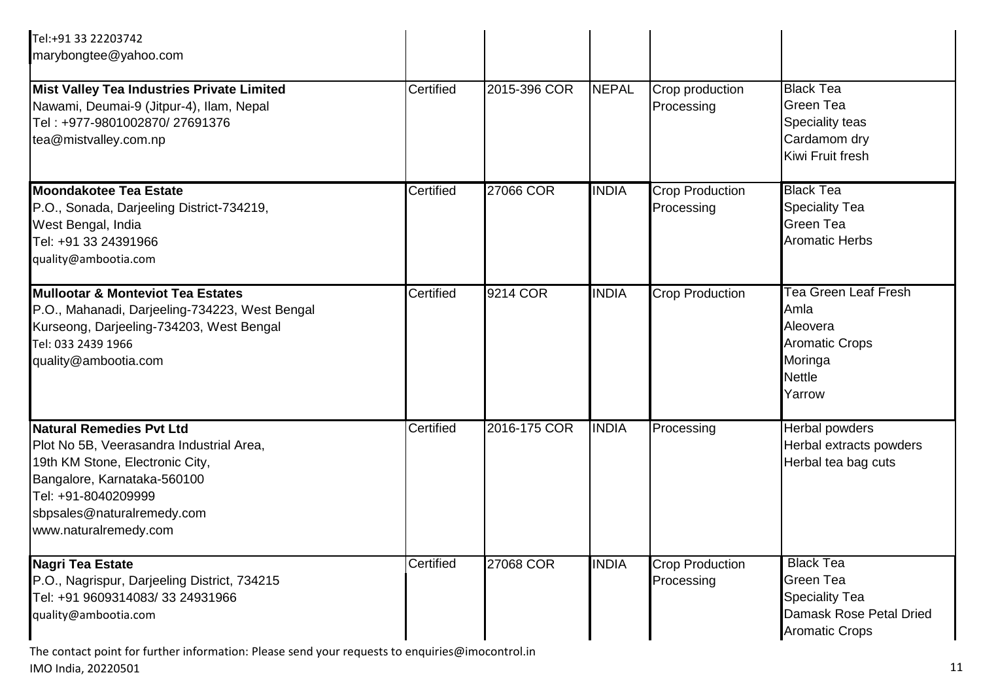| Tel:+91 33 22203742<br>marybongtee@yahoo.com                                                                                                                                                                         |           |              |              |                                      |                                                                                                                |
|----------------------------------------------------------------------------------------------------------------------------------------------------------------------------------------------------------------------|-----------|--------------|--------------|--------------------------------------|----------------------------------------------------------------------------------------------------------------|
| Mist Valley Tea Industries Private Limited<br>Nawami, Deumai-9 (Jitpur-4), Ilam, Nepal<br>Tel: +977-9801002870/27691376<br>tea@mistvalley.com.np                                                                     | Certified | 2015-396 COR | <b>NEPAL</b> | Crop production<br>Processing        | <b>Black Tea</b><br>Green Tea<br>Speciality teas<br>Cardamom dry<br>Kiwi Fruit fresh                           |
| <b>Moondakotee Tea Estate</b><br>P.O., Sonada, Darjeeling District-734219,<br>West Bengal, India<br>Tel: +91 33 24391966<br>quality@ambootia.com                                                                     | Certified | 27066 COR    | <b>INDIA</b> | <b>Crop Production</b><br>Processing | <b>Black Tea</b><br><b>Speciality Tea</b><br><b>Green Tea</b><br><b>Aromatic Herbs</b>                         |
| <b>Mullootar &amp; Monteviot Tea Estates</b><br>P.O., Mahanadi, Darjeeling-734223, West Bengal<br>Kurseong, Darjeeling-734203, West Bengal<br>Tel: 033 2439 1966<br>quality@ambootia.com                             | Certified | 9214 COR     | <b>INDIA</b> | <b>Crop Production</b>               | <b>Tea Green Leaf Fresh</b><br>Amla<br>Aleovera<br><b>Aromatic Crops</b><br>Moringa<br><b>Nettle</b><br>Yarrow |
| Natural Remedies Pvt Ltd<br>Plot No 5B, Veerasandra Industrial Area,<br>19th KM Stone, Electronic City,<br>Bangalore, Karnataka-560100<br>Tel: +91-8040209999<br>sbpsales@naturalremedy.com<br>www.naturalremedy.com | Certified | 2016-175 COR | <b>INDIA</b> | Processing                           | Herbal powders<br>Herbal extracts powders<br>Herbal tea bag cuts                                               |
| Nagri Tea Estate<br>P.O., Nagrispur, Darjeeling District, 734215<br>Tel: +91 9609314083/33 24931966<br>quality@ambootia.com                                                                                          | Certified | 27068 COR    | <b>INDIA</b> | <b>Crop Production</b><br>Processing | <b>Black Tea</b><br>Green Tea<br><b>Speciality Tea</b><br>Damask Rose Petal Dried<br><b>Aromatic Crops</b>     |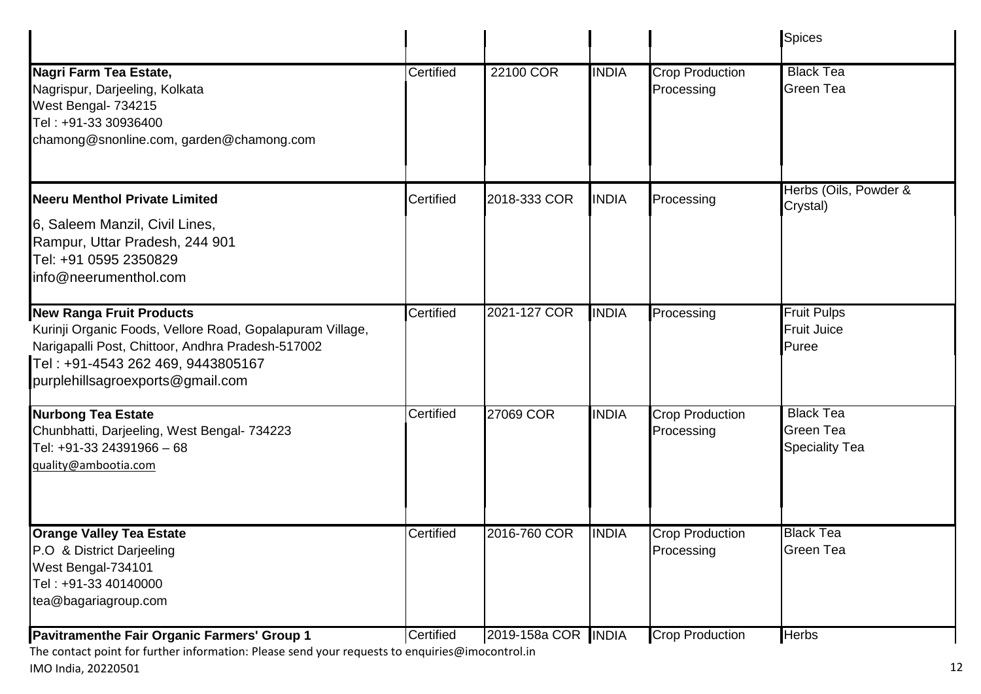|                                                                                                                                                                                                                            |           |                     |              |                                      | <b>Spices</b>                                                 |
|----------------------------------------------------------------------------------------------------------------------------------------------------------------------------------------------------------------------------|-----------|---------------------|--------------|--------------------------------------|---------------------------------------------------------------|
| Nagri Farm Tea Estate,<br>Nagrispur, Darjeeling, Kolkata<br>West Bengal- 734215<br>Tel: +91-33 30936400<br>chamong@snonline.com, garden@chamong.com                                                                        | Certified | 22100 COR           | <b>INDIA</b> | <b>Crop Production</b><br>Processing | <b>Black Tea</b><br><b>Green Tea</b>                          |
| <b>Neeru Menthol Private Limited</b>                                                                                                                                                                                       | Certified | 2018-333 COR        | <b>INDIA</b> | Processing                           | Herbs (Oils, Powder &<br>Crystal)                             |
| 6, Saleem Manzil, Civil Lines,<br>Rampur, Uttar Pradesh, 244 901<br>Tel: +91 0595 2350829<br>info@neerumenthol.com                                                                                                         |           |                     |              |                                      |                                                               |
| <b>New Ranga Fruit Products</b><br>Kurinji Organic Foods, Vellore Road, Gopalapuram Village,<br>Narigapalli Post, Chittoor, Andhra Pradesh-517002<br>Tel: +91-4543 262 469, 9443805167<br>purplehillsagroexports@gmail.com | Certified | 2021-127 COR        | <b>INDIA</b> | Processing                           | <b>Fruit Pulps</b><br><b>Fruit Juice</b><br>Puree             |
| <b>Nurbong Tea Estate</b><br>Chunbhatti, Darjeeling, West Bengal- 734223<br>Tel: +91-33 24391966 - 68<br>quality@ambootia.com                                                                                              | Certified | 27069 COR           | <b>INDIA</b> | <b>Crop Production</b><br>Processing | <b>Black Tea</b><br><b>Green Tea</b><br><b>Speciality Tea</b> |
| <b>Orange Valley Tea Estate</b><br>P.O & District Darjeeling<br>West Bengal-734101<br>Tel: +91-33 40140000<br>tea@bagariagroup.com                                                                                         | Certified | 2016-760 COR        | <b>INDIA</b> | <b>Crop Production</b><br>Processing | <b>Black Tea</b><br>Green Tea                                 |
| Pavitramenthe Fair Organic Farmers' Group 1                                                                                                                                                                                | Certified | 2019-158a COR INDIA |              | <b>Crop Production</b>               | <b>Herbs</b>                                                  |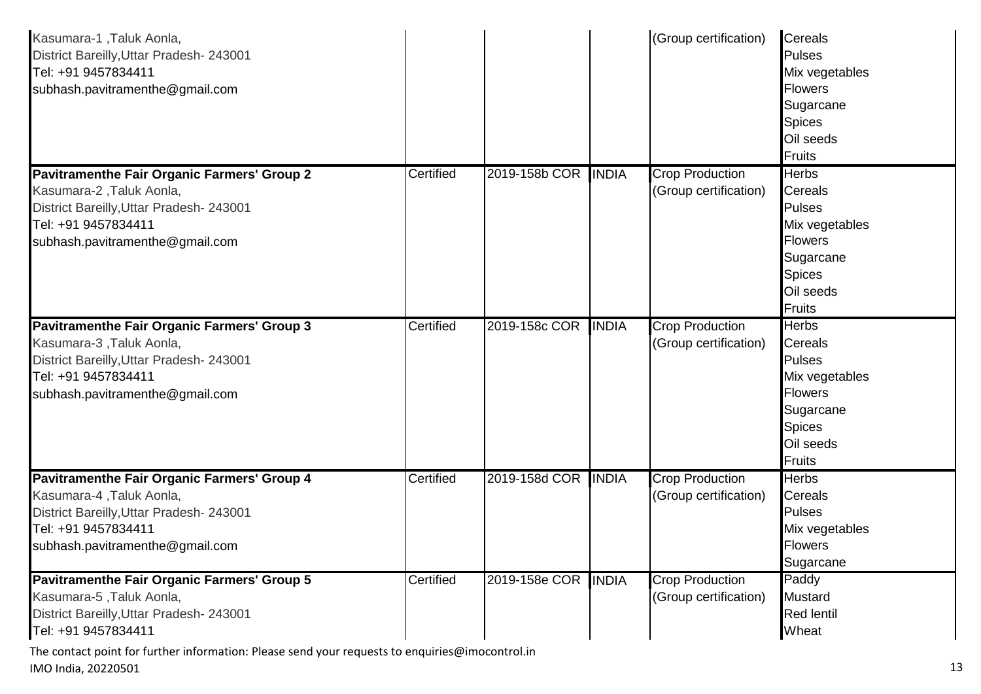| Kasumara-1, Taluk Aonla,<br>District Bareilly, Uttar Pradesh- 243001<br>Tel: +91 9457834411<br>subhash.pavitramenthe@gmail.com                                                       |           |                     |              | (Group certification)                           | <b>Cereals</b><br><b>Pulses</b><br>Mix vegetables<br><b>Flowers</b><br>Sugarcane<br><b>Spices</b><br>Oil seeds<br>Fruits                 |
|--------------------------------------------------------------------------------------------------------------------------------------------------------------------------------------|-----------|---------------------|--------------|-------------------------------------------------|------------------------------------------------------------------------------------------------------------------------------------------|
| Pavitramenthe Fair Organic Farmers' Group 2<br>Kasumara-2, Taluk Aonla,<br>District Bareilly, Uttar Pradesh- 243001<br>Tel: +91 9457834411<br>subhash.pavitramenthe@gmail.com        | Certified | 2019-158b COR       | <b>INDIA</b> | <b>Crop Production</b><br>(Group certification) | <b>Herbs</b><br><b>Cereals</b><br><b>Pulses</b><br>Mix vegetables<br><b>Flowers</b><br>Sugarcane<br><b>Spices</b><br>Oil seeds<br>Fruits |
| <b>Pavitramenthe Fair Organic Farmers' Group 3</b><br>Kasumara-3, Taluk Aonla,<br>District Bareilly, Uttar Pradesh- 243001<br>Tel: +91 9457834411<br>subhash.pavitramenthe@gmail.com | Certified | 2019-158c COR       | <b>INDIA</b> | Crop Production<br>(Group certification)        | <b>Herbs</b><br><b>Cereals</b><br><b>Pulses</b><br>Mix vegetables<br><b>Flowers</b><br>Sugarcane<br><b>Spices</b><br>Oil seeds<br>Fruits |
| Pavitramenthe Fair Organic Farmers' Group 4<br>Kasumara-4, Taluk Aonla,<br>District Bareilly, Uttar Pradesh- 243001<br>Tel: +91 9457834411<br>subhash.pavitramenthe@gmail.com        | Certified | 2019-158d COR       | <b>INDIA</b> | <b>Crop Production</b><br>(Group certification) | <b>Herbs</b><br><b>Cereals</b><br><b>Pulses</b><br>Mix vegetables<br>Flowers<br>Sugarcane                                                |
| Pavitramenthe Fair Organic Farmers' Group 5<br>Kasumara-5, Taluk Aonla,<br>District Bareilly, Uttar Pradesh- 243001<br>Tel: +91 9457834411                                           | Certified | 2019-158e COR INDIA |              | <b>Crop Production</b><br>(Group certification) | Paddy<br><b>Mustard</b><br><b>Red lentil</b><br>Wheat                                                                                    |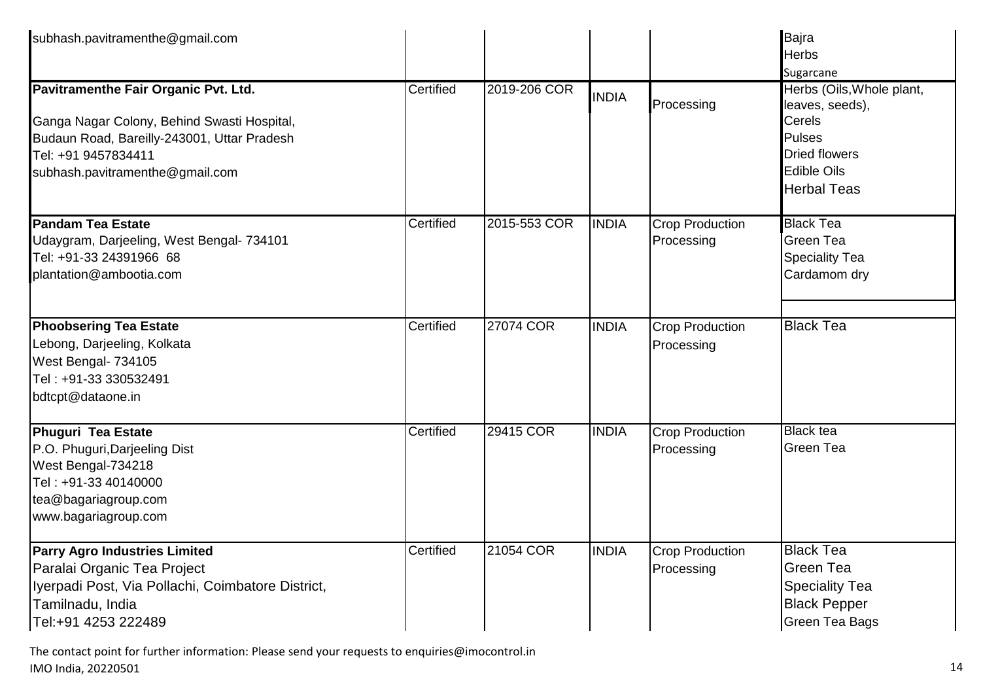| subhash.pavitramenthe@gmail.com                                                                       |           |              |              |                        | Bajra<br><b>Herbs</b>                                       |
|-------------------------------------------------------------------------------------------------------|-----------|--------------|--------------|------------------------|-------------------------------------------------------------|
|                                                                                                       |           |              |              |                        | Sugarcane                                                   |
| Pavitramenthe Fair Organic Pvt. Ltd.<br>Ganga Nagar Colony, Behind Swasti Hospital,                   | Certified | 2019-206 COR | <b>INDIA</b> | Processing             | Herbs (Oils, Whole plant,<br>leaves, seeds),<br>Cerels      |
| Budaun Road, Bareilly-243001, Uttar Pradesh<br>Tel: +91 9457834411<br>subhash.pavitramenthe@gmail.com |           |              |              |                        | <b>Pulses</b><br><b>Dried flowers</b><br><b>Edible Oils</b> |
|                                                                                                       |           |              |              |                        | <b>Herbal Teas</b>                                          |
| <b>Pandam Tea Estate</b>                                                                              | Certified | 2015-553 COR | <b>INDIA</b> | <b>Crop Production</b> | <b>Black Tea</b>                                            |
| Udaygram, Darjeeling, West Bengal- 734101<br>Tel: +91-33 24391966 68                                  |           |              |              | Processing             | <b>Green Tea</b>                                            |
| plantation@ambootia.com                                                                               |           |              |              |                        | <b>Speciality Tea</b><br>Cardamom dry                       |
| <b>Phoobsering Tea Estate</b>                                                                         | Certified | 27074 COR    | <b>INDIA</b> | <b>Crop Production</b> | <b>Black Tea</b>                                            |
| Lebong, Darjeeling, Kolkata                                                                           |           |              |              | Processing             |                                                             |
| West Bengal- 734105                                                                                   |           |              |              |                        |                                                             |
| Tel: +91-33 330532491                                                                                 |           |              |              |                        |                                                             |
| bdtcpt@dataone.in                                                                                     |           |              |              |                        |                                                             |
| Phuguri Tea Estate                                                                                    | Certified | 29415 COR    | <b>INDIA</b> | <b>Crop Production</b> | <b>Black tea</b>                                            |
| P.O. Phuguri, Darjeeling Dist<br>West Bengal-734218                                                   |           |              |              | Processing             | Green Tea                                                   |
| Tel: +91-33 40140000                                                                                  |           |              |              |                        |                                                             |
| tea@bagariagroup.com                                                                                  |           |              |              |                        |                                                             |
| www.bagariagroup.com                                                                                  |           |              |              |                        |                                                             |
| <b>Parry Agro Industries Limited</b>                                                                  | Certified | 21054 COR    | <b>INDIA</b> | <b>Crop Production</b> | <b>Black Tea</b>                                            |
| Paralai Organic Tea Project                                                                           |           |              |              | Processing             | Green Tea                                                   |
| Iyerpadi Post, Via Pollachi, Coimbatore District,                                                     |           |              |              |                        | <b>Speciality Tea</b>                                       |
| Tamilnadu, India<br>Tel:+91 4253 222489                                                               |           |              |              |                        | <b>Black Pepper</b><br><b>Green Tea Bags</b>                |
|                                                                                                       |           |              |              |                        |                                                             |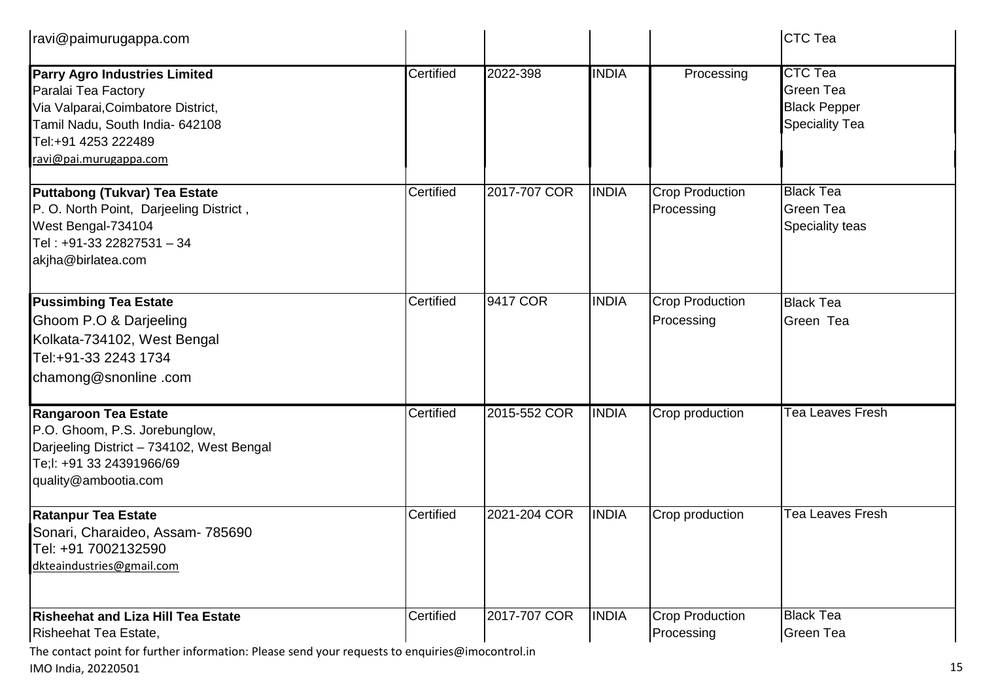| ravi@paimurugappa.com                                                                                                                                                                 |           |              |              |                                      | <b>CTC Tea</b>                                                              |
|---------------------------------------------------------------------------------------------------------------------------------------------------------------------------------------|-----------|--------------|--------------|--------------------------------------|-----------------------------------------------------------------------------|
| <b>Parry Agro Industries Limited</b><br>Paralai Tea Factory<br>Via Valparai, Coimbatore District,<br>Tamil Nadu, South India- 642108<br>Tel:+91 4253 222489<br>ravi@pai.murugappa.com | Certified | 2022-398     | <b>INDIA</b> | Processing                           | <b>CTC Tea</b><br>Green Tea<br><b>Black Pepper</b><br><b>Speciality Tea</b> |
| Puttabong (Tukvar) Tea Estate<br>P. O. North Point, Darjeeling District,<br>West Bengal-734104<br>Tel: +91-33 22827531 - 34<br>akjha@birlatea.com                                     | Certified | 2017-707 COR | <b>INDIA</b> | <b>Crop Production</b><br>Processing | <b>Black Tea</b><br>Green Tea<br>Speciality teas                            |
| <b>Pussimbing Tea Estate</b><br>Ghoom P.O & Darjeeling<br>Kolkata-734102, West Bengal<br>Tel:+91-33 2243 1734<br>chamong@snonline.com                                                 | Certified | 9417 COR     | <b>INDIA</b> | <b>Crop Production</b><br>Processing | <b>Black Tea</b><br>Green Tea                                               |
| <b>Rangaroon Tea Estate</b><br>P.O. Ghoom, P.S. Jorebunglow,<br>Darjeeling District - 734102, West Bengal<br>Te;l: +91 33 24391966/69<br>quality@ambootia.com                         | Certified | 2015-552 COR | <b>INDIA</b> | Crop production                      | Tea Leaves Fresh                                                            |
| <b>Ratanpur Tea Estate</b><br>Sonari, Charaideo, Assam- 785690<br>Tel: +91 7002132590<br>dkteaindustries@gmail.com                                                                    | Certified | 2021-204 COR | <b>INDIA</b> | Crop production                      | Tea Leaves Fresh                                                            |
| <b>Risheehat and Liza Hill Tea Estate</b><br>Risheehat Tea Estate,                                                                                                                    | Certified | 2017-707 COR | <b>INDIA</b> | <b>Crop Production</b><br>Processing | <b>Black Tea</b><br><b>Green Tea</b>                                        |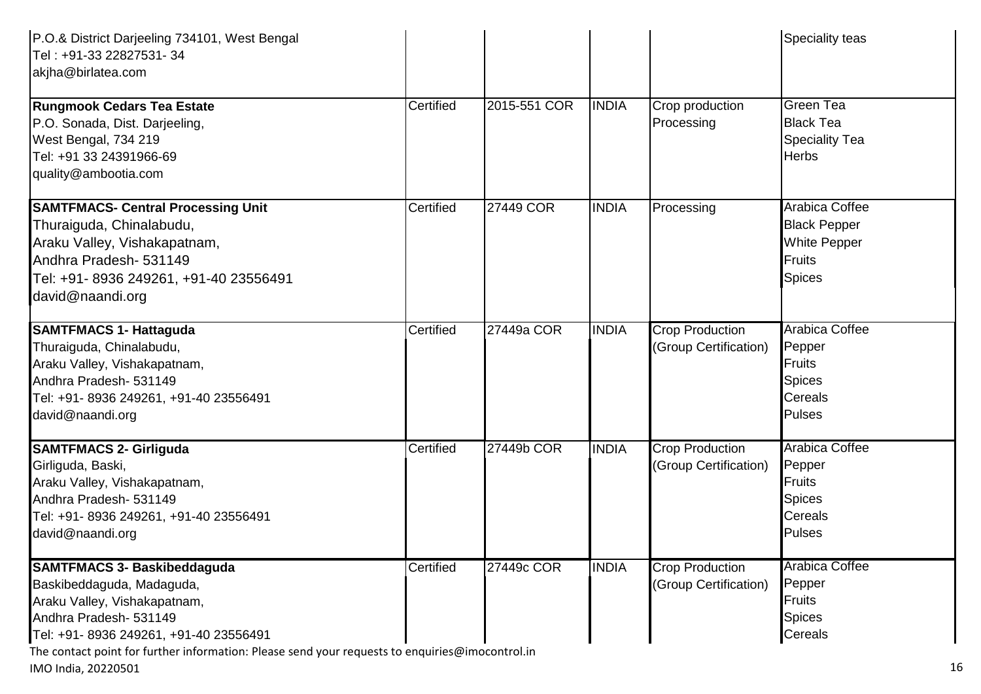| P.O.& District Darjeeling 734101, West Bengal<br>Tel: +91-33 22827531- 34<br>akjha@birlatea.com                                                                                                                                                                        |           |              |              |                                                 | <b>Speciality teas</b>                                                                        |
|------------------------------------------------------------------------------------------------------------------------------------------------------------------------------------------------------------------------------------------------------------------------|-----------|--------------|--------------|-------------------------------------------------|-----------------------------------------------------------------------------------------------|
| <b>Rungmook Cedars Tea Estate</b><br>P.O. Sonada, Dist. Darjeeling,<br>West Bengal, 734 219<br>Tel: +91 33 24391966-69<br>quality@ambootia.com                                                                                                                         | Certified | 2015-551 COR | <b>INDIA</b> | Crop production<br>Processing                   | <b>Green Tea</b><br><b>Black Tea</b><br><b>Speciality Tea</b><br><b>Herbs</b>                 |
| <b>SAMTFMACS- Central Processing Unit</b><br>Thuraiguda, Chinalabudu,<br>Araku Valley, Vishakapatnam,<br>Andhra Pradesh- 531149<br>Tel: +91- 8936 249261, +91-40 23556491<br>david@naandi.org                                                                          | Certified | 27449 COR    | <b>INDIA</b> | Processing                                      | Arabica Coffee<br><b>Black Pepper</b><br><b>White Pepper</b><br>Fruits<br><b>Spices</b>       |
| <b>SAMTFMACS 1- Hattaguda</b><br>Thuraiguda, Chinalabudu,<br>Araku Valley, Vishakapatnam,<br>Andhra Pradesh- 531149<br>Tel: +91- 8936 249261, +91-40 23556491<br>david@naandi.org                                                                                      | Certified | 27449a COR   | <b>INDIA</b> | <b>Crop Production</b><br>(Group Certification) | <b>Arabica Coffee</b><br>Pepper<br><b>Fruits</b><br><b>Spices</b><br>Cereals<br><b>Pulses</b> |
| <b>SAMTFMACS 2- Girliguda</b><br>Girliguda, Baski,<br>Araku Valley, Vishakapatnam,<br>Andhra Pradesh- 531149<br>Tel: +91- 8936 249261, +91-40 23556491<br>david@naandi.org                                                                                             | Certified | 27449b COR   | <b>INDIA</b> | <b>Crop Production</b><br>(Group Certification) | <b>Arabica Coffee</b><br>Pepper<br><b>Fruits</b><br><b>Spices</b><br>Cereals<br><b>Pulses</b> |
| <b>SAMTFMACS 3- Baskibeddaguda</b><br>Baskibeddaguda, Madaguda,<br>Araku Valley, Vishakapatnam,<br>Andhra Pradesh- 531149<br>Tel: +91- 8936 249261, +91-40 23556491<br>The contact point for further information: Please send your requests to enquiries@imocontrol.in | Certified | 27449c COR   | <b>INDIA</b> | <b>Crop Production</b><br>(Group Certification) | <b>Arabica Coffee</b><br>Pepper<br><b>Fruits</b><br><b>Spices</b><br>Cereals                  |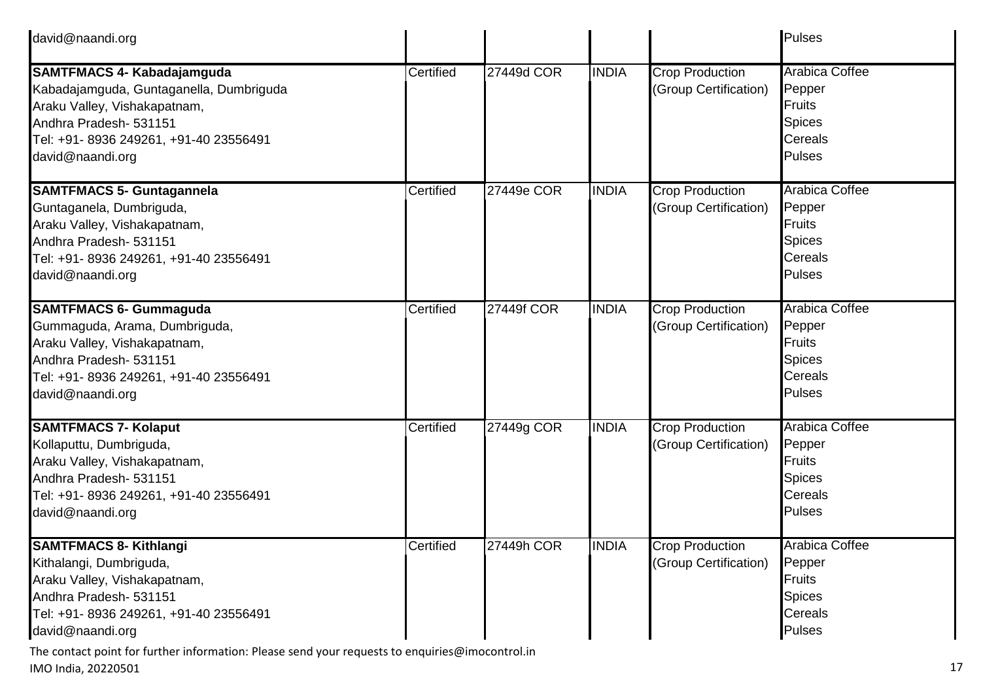| david@naandi.org                                                                                                                                                                                     |           |            |              |                                                 | Pulses                                                                                               |
|------------------------------------------------------------------------------------------------------------------------------------------------------------------------------------------------------|-----------|------------|--------------|-------------------------------------------------|------------------------------------------------------------------------------------------------------|
| <b>SAMTFMACS 4- Kabadajamguda</b><br>Kabadajamguda, Guntaganella, Dumbriguda<br>Araku Valley, Vishakapatnam,<br>Andhra Pradesh- 531151<br>Tel: +91- 8936 249261, +91-40 23556491<br>david@naandi.org | Certified | 27449d COR | <b>INDIA</b> | <b>Crop Production</b><br>(Group Certification) | <b>Arabica Coffee</b><br>Pepper<br><b>Fruits</b><br><b>Spices</b><br><b>Cereals</b><br>Pulses        |
| <b>SAMTFMACS 5- Guntagannela</b><br>Guntaganela, Dumbriguda,<br>Araku Valley, Vishakapatnam,<br>Andhra Pradesh- 531151<br>Tel: +91- 8936 249261, +91-40 23556491<br>david@naandi.org                 | Certified | 27449e COR | <b>INDIA</b> | <b>Crop Production</b><br>(Group Certification) | Arabica Coffee<br>Pepper<br><b>Fruits</b><br><b>Spices</b><br><b>Cereals</b><br>Pulses               |
| <b>SAMTFMACS 6- Gummaguda</b><br>Gummaguda, Arama, Dumbriguda,<br>Araku Valley, Vishakapatnam,<br>Andhra Pradesh- 531151<br>Tel: +91- 8936 249261, +91-40 23556491<br>david@naandi.org               | Certified | 27449f COR | <b>INDIA</b> | Crop Production<br>(Group Certification)        | <b>Arabica Coffee</b><br>Pepper<br>Fruits<br><b>Spices</b><br><b>Cereals</b><br>Pulses               |
| <b>SAMTFMACS 7- Kolaput</b><br>Kollaputtu, Dumbriguda,<br>Araku Valley, Vishakapatnam,<br>Andhra Pradesh- 531151<br>Tel: +91- 8936 249261, +91-40 23556491<br>david@naandi.org                       | Certified | 27449g COR | <b>INDIA</b> | <b>Crop Production</b><br>(Group Certification) | <b>Arabica Coffee</b><br>Pepper<br><b>Fruits</b><br><b>Spices</b><br><b>Cereals</b><br><b>Pulses</b> |
| <b>SAMTFMACS 8- Kithlangi</b><br>Kithalangi, Dumbriguda,<br>Araku Valley, Vishakapatnam,<br>Andhra Pradesh- 531151<br>Tel: +91- 8936 249261, +91-40 23556491<br>david@naandi.org                     | Certified | 27449h COR | <b>INDIA</b> | <b>Crop Production</b><br>(Group Certification) | Arabica Coffee<br>Pepper<br><b>Fruits</b><br><b>Spices</b><br><b>Cereals</b><br><b>Pulses</b>        |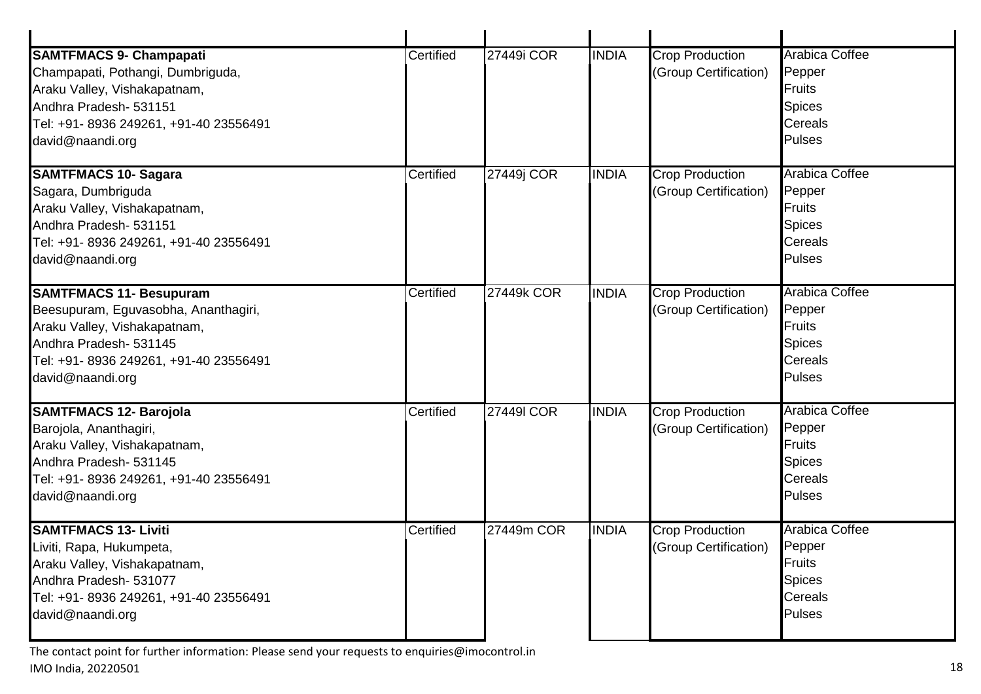| <b>SAMTFMACS 9- Champapati</b><br>Champapati, Pothangi, Dumbriguda,<br>Araku Valley, Vishakapatnam,<br>Andhra Pradesh- 531151<br>Tel: +91- 8936 249261, +91-40 23556491<br>david@naandi.org    | Certified | 27449i COR | <b>INDIA</b> | <b>Crop Production</b><br>(Group Certification) | <b>Arabica Coffee</b><br>Pepper<br><b>Fruits</b><br><b>Spices</b><br>Cereals<br><b>Pulses</b> |
|------------------------------------------------------------------------------------------------------------------------------------------------------------------------------------------------|-----------|------------|--------------|-------------------------------------------------|-----------------------------------------------------------------------------------------------|
| <b>SAMTFMACS 10- Sagara</b><br>Sagara, Dumbriguda<br>Araku Valley, Vishakapatnam,<br>Andhra Pradesh- 531151<br>Tel: +91- 8936 249261, +91-40 23556491<br>david@naandi.org                      | Certified | 27449j COR | <b>INDIA</b> | <b>Crop Production</b><br>(Group Certification) | <b>Arabica Coffee</b><br>Pepper<br><b>Fruits</b><br><b>Spices</b><br><b>Cereals</b><br>Pulses |
| <b>SAMTFMACS 11- Besupuram</b><br>Beesupuram, Eguvasobha, Ananthagiri,<br>Araku Valley, Vishakapatnam,<br>Andhra Pradesh- 531145<br>Tel: +91- 8936 249261, +91-40 23556491<br>david@naandi.org | Certified | 27449k COR | <b>INDIA</b> | <b>Crop Production</b><br>(Group Certification) | <b>Arabica Coffee</b><br>Pepper<br><b>Fruits</b><br><b>Spices</b><br>Cereals<br>Pulses        |
| <b>SAMTFMACS 12- Barojola</b><br>Barojola, Ananthagiri,<br>Araku Valley, Vishakapatnam,<br>Andhra Pradesh- 531145<br>Tel: +91- 8936 249261, +91-40 23556491<br>david@naandi.org                | Certified | 274491 COR | <b>INDIA</b> | <b>Crop Production</b><br>(Group Certification) | <b>Arabica Coffee</b><br>Pepper<br><b>Fruits</b><br><b>Spices</b><br>Cereals<br><b>Pulses</b> |
| <b>SAMTFMACS 13- Liviti</b><br>Liviti, Rapa, Hukumpeta,<br>Araku Valley, Vishakapatnam,<br>Andhra Pradesh- 531077<br>Tel: +91- 8936 249261, +91-40 23556491<br>david@naandi.org                | Certified | 27449m COR | <b>INDIA</b> | <b>Crop Production</b><br>(Group Certification) | <b>Arabica Coffee</b><br>Pepper<br><b>Fruits</b><br><b>Spices</b><br><b>Cereals</b><br>Pulses |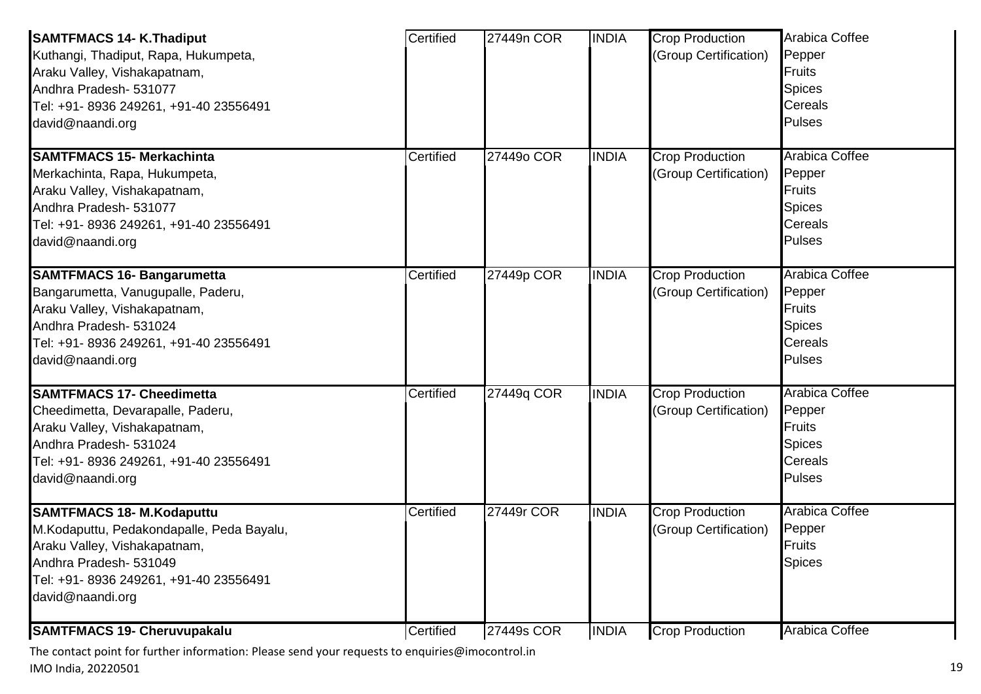| <b>SAMTFMACS 14- K.Thadiput</b><br>Kuthangi, Thadiput, Rapa, Hukumpeta,<br>Araku Valley, Vishakapatnam,<br>Andhra Pradesh- 531077<br>Tel: +91- 8936 249261, +91-40 23556491<br>david@naandi.org       | Certified | 27449n COR | <b>INDIA</b> | <b>Crop Production</b><br>(Group Certification) | Arabica Coffee<br>Pepper<br><b>Fruits</b><br><b>Spices</b><br>Cereals<br><b>Pulses</b>        |
|-------------------------------------------------------------------------------------------------------------------------------------------------------------------------------------------------------|-----------|------------|--------------|-------------------------------------------------|-----------------------------------------------------------------------------------------------|
| <b>SAMTFMACS 15- Merkachinta</b><br>Merkachinta, Rapa, Hukumpeta,<br>Araku Valley, Vishakapatnam,<br>Andhra Pradesh- 531077<br>Tel: +91- 8936 249261, +91-40 23556491<br>david@naandi.org             | Certified | 27449o COR | <b>INDIA</b> | <b>Crop Production</b><br>(Group Certification) | <b>Arabica Coffee</b><br>Pepper<br><b>Fruits</b><br><b>Spices</b><br>Cereals<br><b>Pulses</b> |
| <b>SAMTFMACS 16- Bangarumetta</b><br>Bangarumetta, Vanugupalle, Paderu,<br>Araku Valley, Vishakapatnam,<br>Andhra Pradesh- 531024<br>Tel: +91- 8936 249261, +91-40 23556491<br>david@naandi.org       | Certified | 27449p COR | <b>INDIA</b> | <b>Crop Production</b><br>(Group Certification) | <b>Arabica Coffee</b><br>Pepper<br>Fruits<br><b>Spices</b><br>Cereals<br><b>Pulses</b>        |
| <b>SAMTFMACS 17- Cheedimetta</b><br>Cheedimetta, Devarapalle, Paderu,<br>Araku Valley, Vishakapatnam,<br>Andhra Pradesh- 531024<br>Tel: +91- 8936 249261, +91-40 23556491<br>david@naandi.org         | Certified | 27449q COR | <b>INDIA</b> | <b>Crop Production</b><br>(Group Certification) | <b>Arabica Coffee</b><br>Pepper<br><b>Fruits</b><br><b>Spices</b><br>Cereals<br><b>Pulses</b> |
| <b>SAMTFMACS 18- M.Kodaputtu</b><br>M.Kodaputtu, Pedakondapalle, Peda Bayalu,<br>Araku Valley, Vishakapatnam,<br>Andhra Pradesh- 531049<br>Tel: +91- 8936 249261, +91-40 23556491<br>david@naandi.org | Certified | 27449r COR | <b>INDIA</b> | <b>Crop Production</b><br>(Group Certification) | <b>Arabica Coffee</b><br>Pepper<br>Fruits<br><b>Spices</b>                                    |
| <b>SAMTFMACS 19- Cheruvupakalu</b>                                                                                                                                                                    | Certified | 27449s COR | <b>INDIA</b> | <b>Crop Production</b>                          | <b>Arabica Coffee</b>                                                                         |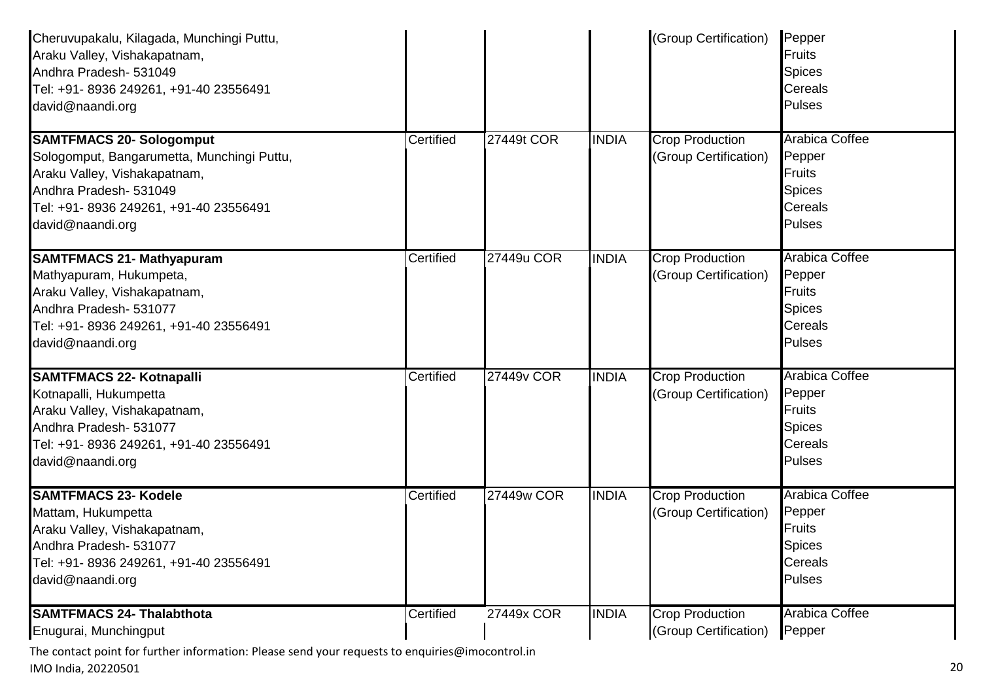| Cheruvupakalu, Kilagada, Munchingi Puttu,<br>Araku Valley, Vishakapatnam,<br>Andhra Pradesh- 531049<br>Tel: +91- 8936 249261, +91-40 23556491<br>david@naandi.org                                     |           |            |              | (Group Certification)                           | Pepper<br><b>Fruits</b><br><b>Spices</b><br><b>Cereals</b><br>Pulses                                 |
|-------------------------------------------------------------------------------------------------------------------------------------------------------------------------------------------------------|-----------|------------|--------------|-------------------------------------------------|------------------------------------------------------------------------------------------------------|
| <b>SAMTFMACS 20- Sologomput</b><br>Sologomput, Bangarumetta, Munchingi Puttu,<br>Araku Valley, Vishakapatnam,<br>Andhra Pradesh- 531049<br>Tel: +91- 8936 249261, +91-40 23556491<br>david@naandi.org | Certified | 27449t COR | <b>INDIA</b> | <b>Crop Production</b><br>(Group Certification) | <b>Arabica Coffee</b><br>Pepper<br><b>Fruits</b><br><b>Spices</b><br><b>Cereals</b><br>Pulses        |
| <b>SAMTFMACS 21- Mathyapuram</b><br>Mathyapuram, Hukumpeta,<br>Araku Valley, Vishakapatnam,<br>Andhra Pradesh- 531077<br>Tel: +91- 8936 249261, +91-40 23556491<br>david@naandi.org                   | Certified | 27449u COR | <b>INDIA</b> | <b>Crop Production</b><br>(Group Certification) | <b>Arabica Coffee</b><br>Pepper<br><b>Fruits</b><br><b>Spices</b><br><b>Cereals</b><br><b>Pulses</b> |
| <b>SAMTFMACS 22- Kotnapalli</b><br>Kotnapalli, Hukumpetta<br>Araku Valley, Vishakapatnam,<br>Andhra Pradesh- 531077<br>Tel: +91- 8936 249261, +91-40 23556491<br>david@naandi.org                     | Certified | 27449v COR | <b>INDIA</b> | <b>Crop Production</b><br>(Group Certification) | <b>Arabica Coffee</b><br>Pepper<br><b>Fruits</b><br><b>Spices</b><br><b>Cereals</b><br>Pulses        |
| <b>SAMTFMACS 23- Kodele</b><br>Mattam, Hukumpetta<br>Araku Valley, Vishakapatnam,<br>Andhra Pradesh- 531077<br>Tel: +91- 8936 249261, +91-40 23556491<br>david@naandi.org                             | Certified | 27449w COR | <b>INDIA</b> | <b>Crop Production</b><br>(Group Certification) | <b>Arabica Coffee</b><br>Pepper<br><b>Fruits</b><br><b>Spices</b><br>Cereals<br><b>Pulses</b>        |
| <b>SAMTFMACS 24- Thalabthota</b><br>Enugurai, Munchingput                                                                                                                                             | Certified | 27449x COR | <b>INDIA</b> | <b>Crop Production</b><br>(Group Certification) | <b>Arabica Coffee</b><br>Pepper                                                                      |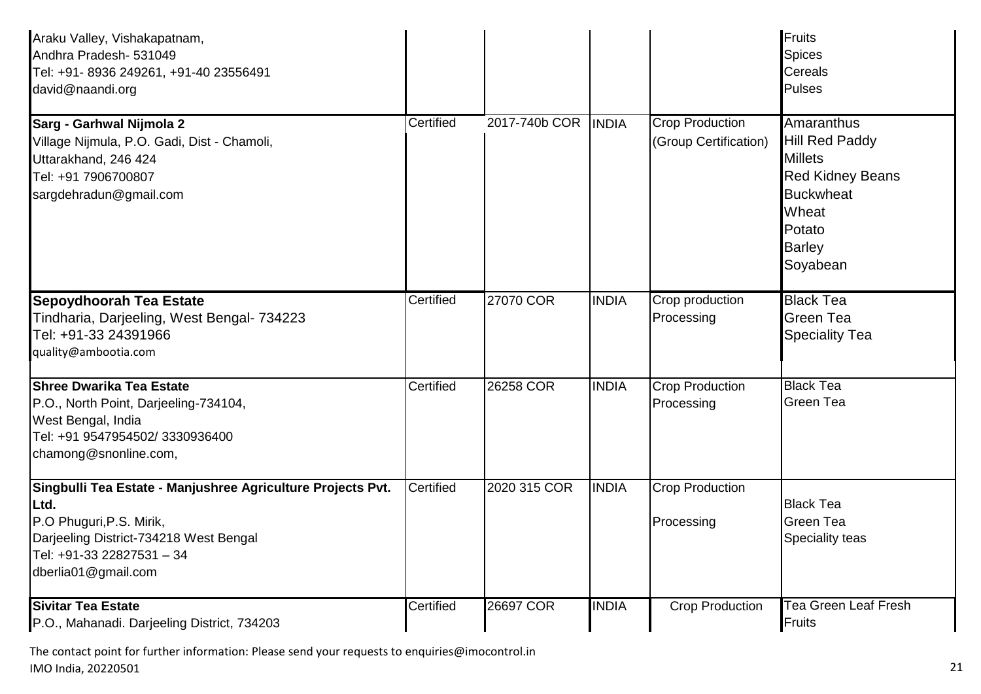| Araku Valley, Vishakapatnam,<br>Andhra Pradesh- 531049<br>Tel: +91- 8936 249261, +91-40 23556491<br>david@naandi.org                                                                          |           |               |              |                                                 | Fruits<br><b>Spices</b><br>Cereals<br><b>Pulses</b>                                                                                                  |
|-----------------------------------------------------------------------------------------------------------------------------------------------------------------------------------------------|-----------|---------------|--------------|-------------------------------------------------|------------------------------------------------------------------------------------------------------------------------------------------------------|
| Sarg - Garhwal Nijmola 2<br>Village Nijmula, P.O. Gadi, Dist - Chamoli,<br>Uttarakhand, 246 424<br>Tel: +91 7906700807<br>sargdehradun@gmail.com                                              | Certified | 2017-740b COR | <b>INDIA</b> | <b>Crop Production</b><br>(Group Certification) | Amaranthus<br><b>Hill Red Paddy</b><br><b>Millets</b><br><b>Red Kidney Beans</b><br><b>Buckwheat</b><br>Wheat<br>Potato<br><b>Barley</b><br>Soyabean |
| <b>Sepoydhoorah Tea Estate</b><br>Tindharia, Darjeeling, West Bengal- 734223<br>Tel: +91-33 24391966<br>quality@ambootia.com                                                                  | Certified | 27070 COR     | <b>INDIA</b> | Crop production<br>Processing                   | <b>Black Tea</b><br><b>Green Tea</b><br><b>Speciality Tea</b>                                                                                        |
| <b>Shree Dwarika Tea Estate</b><br>P.O., North Point, Darjeeling-734104,<br>West Bengal, India<br>Tel: +91 9547954502/3330936400<br>chamong@snonline.com,                                     | Certified | 26258 COR     | <b>INDIA</b> | <b>Crop Production</b><br>Processing            | <b>Black Tea</b><br>Green Tea                                                                                                                        |
| Singbulli Tea Estate - Manjushree Agriculture Projects Pvt.<br>Ltd.<br>P.O Phuguri, P.S. Mirik,<br>Darjeeling District-734218 West Bengal<br>Tel: +91-33 22827531 - 34<br>dberlia01@gmail.com | Certified | 2020 315 COR  | <b>INDIA</b> | <b>Crop Production</b><br>Processing            | <b>Black Tea</b><br>Green Tea<br>Speciality teas                                                                                                     |
| <b>Sivitar Tea Estate</b><br>P.O., Mahanadi. Darjeeling District, 734203                                                                                                                      | Certified | 26697 COR     | <b>INDIA</b> | <b>Crop Production</b>                          | <b>Tea Green Leaf Fresh</b><br><b>Fruits</b>                                                                                                         |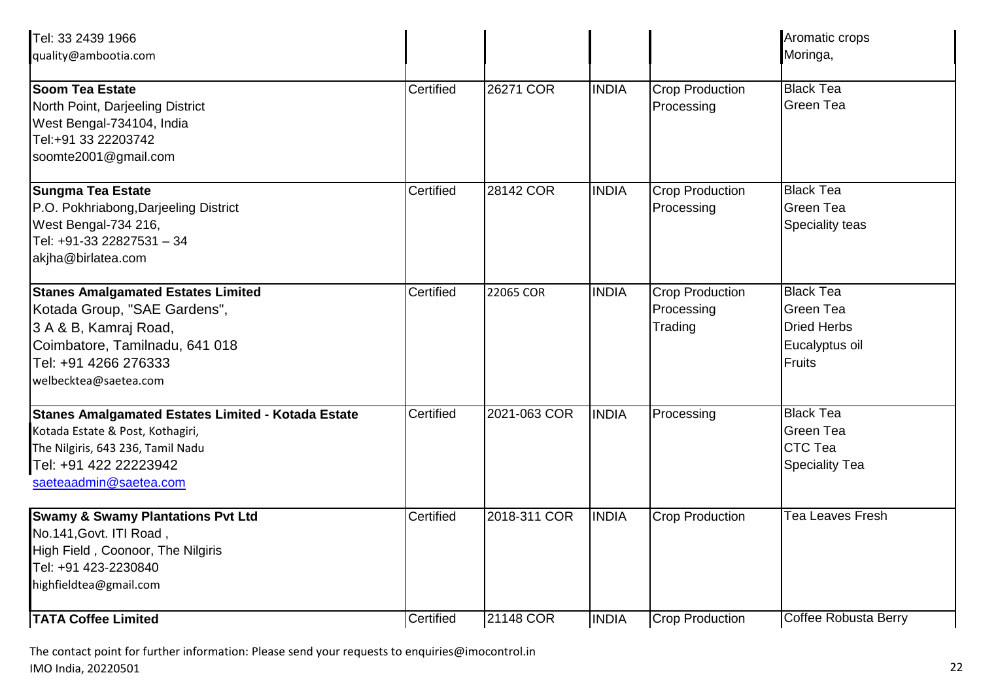| Tel: 33 2439 1966<br>quality@ambootia.com                                                                                                                                             |           |              |              |                                                 | Aromatic crops<br>Moringa,                                                             |
|---------------------------------------------------------------------------------------------------------------------------------------------------------------------------------------|-----------|--------------|--------------|-------------------------------------------------|----------------------------------------------------------------------------------------|
| <b>Soom Tea Estate</b><br>North Point, Darjeeling District<br>West Bengal-734104, India<br>Tel:+91 33 22203742<br>soomte2001@gmail.com                                                | Certified | 26271 COR    | <b>INDIA</b> | <b>Crop Production</b><br>Processing            | <b>Black Tea</b><br>Green Tea                                                          |
| <b>Sungma Tea Estate</b><br>P.O. Pokhriabong, Darjeeling District<br>West Bengal-734 216,<br>Tel: +91-33 22827531 - 34<br>akjha@birlatea.com                                          | Certified | 28142 COR    | <b>INDIA</b> | <b>Crop Production</b><br>Processing            | <b>Black Tea</b><br><b>Green Tea</b><br>Speciality teas                                |
| <b>Stanes Amalgamated Estates Limited</b><br>Kotada Group, "SAE Gardens",<br>3 A & B, Kamraj Road,<br>Coimbatore, Tamilnadu, 641 018<br>Tel: +91 4266 276333<br>welbecktea@saetea.com | Certified | 22065 COR    | <b>INDIA</b> | <b>Crop Production</b><br>Processing<br>Trading | <b>Black Tea</b><br>Green Tea<br><b>Dried Herbs</b><br>Eucalyptus oil<br><b>Fruits</b> |
| Stanes Amalgamated Estates Limited - Kotada Estate<br>Kotada Estate & Post, Kothagiri,<br>The Nilgiris, 643 236, Tamil Nadu<br>Tel: +91 422 22223942<br>saeteaadmin@saetea.com        | Certified | 2021-063 COR | <b>INDIA</b> | Processing                                      | <b>Black Tea</b><br><b>Green Tea</b><br><b>CTC Tea</b><br><b>Speciality Tea</b>        |
| <b>Swamy &amp; Swamy Plantations Pvt Ltd</b><br>No.141, Govt. ITI Road,<br>High Field, Coonoor, The Nilgiris<br>Tel: +91 423-2230840<br>highfieldtea@gmail.com                        | Certified | 2018-311 COR | <b>INDIA</b> | <b>Crop Production</b>                          | <b>Tea Leaves Fresh</b>                                                                |
| <b>TATA Coffee Limited</b>                                                                                                                                                            | Certified | 21148 COR    | <b>INDIA</b> | <b>Crop Production</b>                          | Coffee Robusta Berry                                                                   |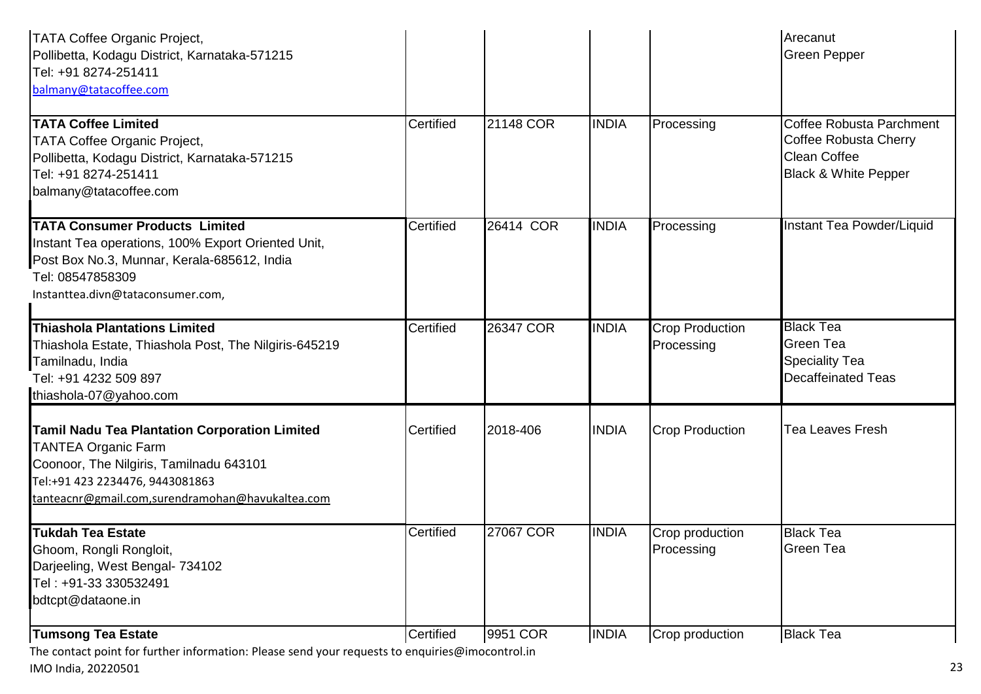| <b>TATA Coffee Organic Project,</b><br>Pollibetta, Kodagu District, Karnataka-571215<br>Tel: +91 8274-251411<br>balmany@tatacoffee.com                                                                               |           |           |              |                                      | Arecanut<br><b>Green Pepper</b>                                                                                    |
|----------------------------------------------------------------------------------------------------------------------------------------------------------------------------------------------------------------------|-----------|-----------|--------------|--------------------------------------|--------------------------------------------------------------------------------------------------------------------|
| <b>TATA Coffee Limited</b><br><b>TATA Coffee Organic Project,</b><br>Pollibetta, Kodagu District, Karnataka-571215<br>Tel: +91 8274-251411<br>balmany@tatacoffee.com                                                 | Certified | 21148 COR | <b>INDIA</b> | Processing                           | <b>Coffee Robusta Parchment</b><br>Coffee Robusta Cherry<br><b>Clean Coffee</b><br><b>Black &amp; White Pepper</b> |
| <b>TATA Consumer Products Limited</b><br>Instant Tea operations, 100% Export Oriented Unit,<br>Post Box No.3, Munnar, Kerala-685612, India<br>Tel: 08547858309<br>Instanttea.divn@tataconsumer.com,                  | Certified | 26414 COR | <b>INDIA</b> | Processing                           | Instant Tea Powder/Liquid                                                                                          |
| <b>Thiashola Plantations Limited</b><br>Thiashola Estate, Thiashola Post, The Nilgiris-645219<br>Tamilnadu, India<br>Tel: +91 4232 509 897<br>thiashola-07@yahoo.com                                                 | Certified | 26347 COR | <b>INDIA</b> | <b>Crop Production</b><br>Processing | <b>Black Tea</b><br><b>Green Tea</b><br><b>Speciality Tea</b><br><b>Decaffeinated Teas</b>                         |
| <b>Tamil Nadu Tea Plantation Corporation Limited</b><br><b>TANTEA Organic Farm</b><br>Coonoor, The Nilgiris, Tamilnadu 643101<br>Tel:+91 423 2234476, 9443081863<br>tanteacnr@gmail.com,surendramohan@havukaltea.com | Certified | 2018-406  | <b>INDIA</b> | <b>Crop Production</b>               | <b>Tea Leaves Fresh</b>                                                                                            |
| <b>Tukdah Tea Estate</b><br>Ghoom, Rongli Rongloit,<br>Darjeeling, West Bengal- 734102<br>Tel: +91-33 330532491<br>bdtcpt@dataone.in                                                                                 | Certified | 27067 COR | <b>INDIA</b> | Crop production<br>Processing        | <b>Black Tea</b><br><b>Green Tea</b>                                                                               |
| <b>Tumsong Tea Estate</b>                                                                                                                                                                                            | Certified | 9951 COR  | <b>INDIA</b> | Crop production                      | <b>Black Tea</b>                                                                                                   |